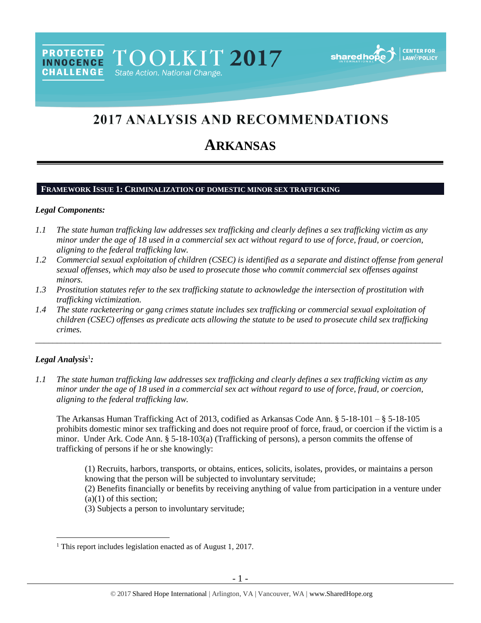**PROTECTED** TOOLKIT 2017 **INNOCENCE CHALLENGE** State Action. National Change.



# 2017 ANALYSIS AND RECOMMENDATIONS

# **ARKANSAS**

#### **FRAMEWORK ISSUE 1: CRIMINALIZATION OF DOMESTIC MINOR SEX TRAFFICKING**

#### *Legal Components:*

- *1.1 The state human trafficking law addresses sex trafficking and clearly defines a sex trafficking victim as any minor under the age of 18 used in a commercial sex act without regard to use of force, fraud, or coercion, aligning to the federal trafficking law.*
- *1.2 Commercial sexual exploitation of children (CSEC) is identified as a separate and distinct offense from general sexual offenses, which may also be used to prosecute those who commit commercial sex offenses against minors.*
- *1.3 Prostitution statutes refer to the sex trafficking statute to acknowledge the intersection of prostitution with trafficking victimization.*
- *1.4 The state racketeering or gang crimes statute includes sex trafficking or commercial sexual exploitation of children (CSEC) offenses as predicate acts allowing the statute to be used to prosecute child sex trafficking crimes.*

\_\_\_\_\_\_\_\_\_\_\_\_\_\_\_\_\_\_\_\_\_\_\_\_\_\_\_\_\_\_\_\_\_\_\_\_\_\_\_\_\_\_\_\_\_\_\_\_\_\_\_\_\_\_\_\_\_\_\_\_\_\_\_\_\_\_\_\_\_\_\_\_\_\_\_\_\_\_\_\_\_\_\_\_\_\_\_\_\_\_\_\_\_\_

# *Legal Analysis*<sup>1</sup> *:*

 $\overline{a}$ 

*1.1 The state human trafficking law addresses sex trafficking and clearly defines a sex trafficking victim as any minor under the age of 18 used in a commercial sex act without regard to use of force, fraud, or coercion, aligning to the federal trafficking law.*

The Arkansas Human Trafficking Act of 2013, codified as Arkansas Code Ann. § 5-18-101 – § 5-18-105 prohibits domestic minor sex trafficking and does not require proof of force, fraud, or coercion if the victim is a minor. Under Ark. Code Ann. § 5-18-103(a) (Trafficking of persons), a person commits the offense of trafficking of persons if he or she knowingly:

(1) Recruits, harbors, transports, or obtains, entices, solicits, isolates, provides, or maintains a person knowing that the person will be subjected to involuntary servitude;

(2) Benefits financially or benefits by receiving anything of value from participation in a venture under  $(a)(1)$  of this section:

(3) Subjects a person to involuntary servitude;

<sup>&</sup>lt;sup>1</sup> This report includes legislation enacted as of August 1, 2017.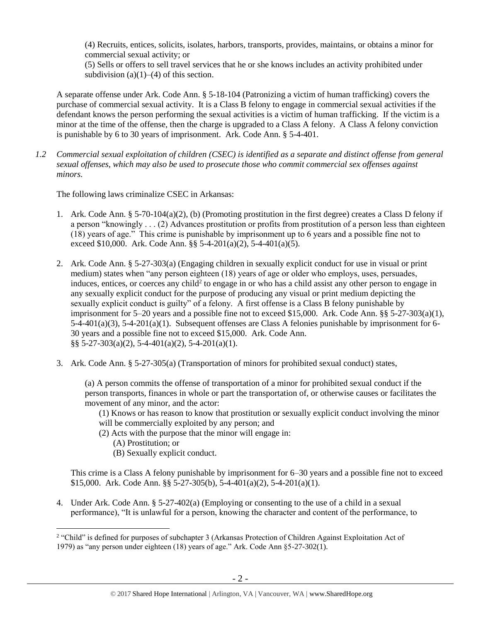(4) Recruits, entices, solicits, isolates, harbors, transports, provides, maintains, or obtains a minor for commercial sexual activity; or

(5) Sells or offers to sell travel services that he or she knows includes an activity prohibited under subdivision  $(a)(1)$ – $(4)$  of this section.

A separate offense under Ark. Code Ann. § 5-18-104 (Patronizing a victim of human trafficking) covers the purchase of commercial sexual activity. It is a Class B felony to engage in commercial sexual activities if the defendant knows the person performing the sexual activities is a victim of human trafficking. If the victim is a minor at the time of the offense, then the charge is upgraded to a Class A felony. A Class A felony conviction is punishable by 6 to 30 years of imprisonment. Ark. Code Ann. § 5-4-401.

*1.2 Commercial sexual exploitation of children (CSEC) is identified as a separate and distinct offense from general sexual offenses, which may also be used to prosecute those who commit commercial sex offenses against minors.*

The following laws criminalize CSEC in Arkansas:

- 1. Ark. Code Ann. § 5-70-104(a)(2), (b) (Promoting prostitution in the first degree) creates a Class D felony if a person "knowingly . . . (2) Advances prostitution or profits from prostitution of a person less than eighteen (18) years of age." This crime is punishable by imprisonment up to 6 years and a possible fine not to exceed \$10,000. Ark. Code Ann.  $\S$ § 5-4-201(a)(2), 5-4-401(a)(5).
- 2. Ark. Code Ann. § 5-27-303(a) (Engaging children in sexually explicit conduct for use in visual or print medium) states when "any person eighteen (18) years of age or older who employs, uses, persuades, induces, entices, or coerces any child<sup>2</sup> to engage in or who has a child assist any other person to engage in any sexually explicit conduct for the purpose of producing any visual or print medium depicting the sexually explicit conduct is guilty" of a felony. A first offense is a Class B felony punishable by imprisonment for 5–20 years and a possible fine not to exceed \$15,000. Ark. Code Ann.  $\S$ § 5-27-303(a)(1), 5-4-401(a)(3), 5-4-201(a)(1). Subsequent offenses are Class A felonies punishable by imprisonment for 6- 30 years and a possible fine not to exceed \$15,000. Ark. Code Ann. §§ 5-27-303(a)(2), 5-4-401(a)(2), 5-4-201(a)(1).
- 3. Ark. Code Ann. § 5-27-305(a) (Transportation of minors for prohibited sexual conduct) states,

(a) A person commits the offense of transportation of a minor for prohibited sexual conduct if the person transports, finances in whole or part the transportation of, or otherwise causes or facilitates the movement of any minor, and the actor:

(1) Knows or has reason to know that prostitution or sexually explicit conduct involving the minor will be commercially exploited by any person; and

- (2) Acts with the purpose that the minor will engage in:
	- (A) Prostitution; or

 $\overline{a}$ 

(B) Sexually explicit conduct.

This crime is a Class A felony punishable by imprisonment for 6–30 years and a possible fine not to exceed \$15,000. Ark. Code Ann. §§ 5-27-305(b), 5-4-401(a)(2), 5-4-201(a)(1).

4. Under Ark. Code Ann. § 5-27-402(a) (Employing or consenting to the use of a child in a sexual performance), "It is unlawful for a person, knowing the character and content of the performance, to

<sup>&</sup>lt;sup>2</sup> "Child" is defined for purposes of subchapter 3 (Arkansas Protection of Children Against Exploitation Act of 1979) as "any person under eighteen (18) years of age." Ark. Code Ann §5-27-302(1).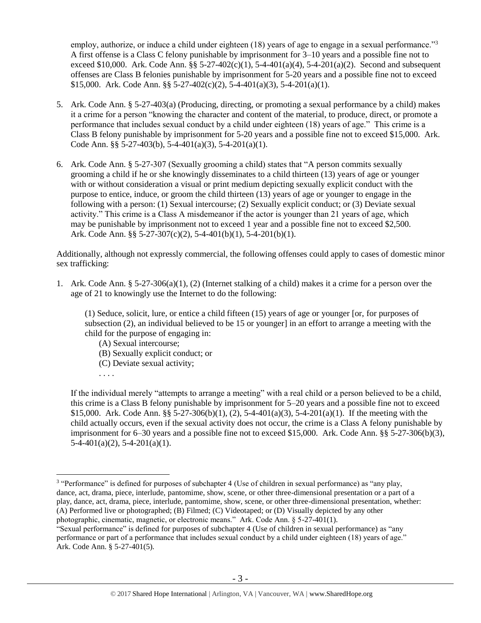employ, authorize, or induce a child under eighteen (18) years of age to engage in a sexual performance."<sup>3</sup> A first offense is a Class C felony punishable by imprisonment for 3–10 years and a possible fine not to exceed \$10,000. Ark. Code Ann. §§ 5-27-402(c)(1), 5-4-401(a)(4), 5-4-201(a)(2). Second and subsequent offenses are Class B felonies punishable by imprisonment for 5-20 years and a possible fine not to exceed \$15,000. Ark. Code Ann. §§ 5-27-402(c)(2), 5-4-401(a)(3), 5-4-201(a)(1).

- 5. Ark. Code Ann. § 5-27-403(a) (Producing, directing, or promoting a sexual performance by a child) makes it a crime for a person "knowing the character and content of the material, to produce, direct, or promote a performance that includes sexual conduct by a child under eighteen (18) years of age." This crime is a Class B felony punishable by imprisonment for 5-20 years and a possible fine not to exceed \$15,000. Ark. Code Ann. §§ 5-27-403(b), 5-4-401(a)(3), 5-4-201(a)(1).
- 6. Ark. Code Ann. § 5-27-307 (Sexually grooming a child) states that "A person commits sexually grooming a child if he or she knowingly disseminates to a child thirteen (13) years of age or younger with or without consideration a visual or print medium depicting sexually explicit conduct with the purpose to entice, induce, or groom the child thirteen (13) years of age or younger to engage in the following with a person: (1) Sexual intercourse; (2) Sexually explicit conduct; or (3) Deviate sexual activity." This crime is a Class A misdemeanor if the actor is younger than 21 years of age, which may be punishable by imprisonment not to exceed 1 year and a possible fine not to exceed \$2,500. Ark. Code Ann. §§ 5-27-307(c)(2), 5-4-401(b)(1), 5-4-201(b)(1).

Additionally, although not expressly commercial, the following offenses could apply to cases of domestic minor sex trafficking:

1. Ark. Code Ann. § 5-27-306(a)(1), (2) (Internet stalking of a child) makes it a crime for a person over the age of 21 to knowingly use the Internet to do the following:

(1) Seduce, solicit, lure, or entice a child fifteen (15) years of age or younger [or, for purposes of subsection (2), an individual believed to be 15 or younger] in an effort to arrange a meeting with the child for the purpose of engaging in:

- (A) Sexual intercourse;
- (B) Sexually explicit conduct; or
- (C) Deviate sexual activity;
- . . . .

If the individual merely "attempts to arrange a meeting" with a real child or a person believed to be a child, this crime is a Class B felony punishable by imprisonment for 5–20 years and a possible fine not to exceed \$15,000. Ark. Code Ann. §§ 5-27-306(b)(1), (2), 5-4-401(a)(3), 5-4-201(a)(1). If the meeting with the child actually occurs, even if the sexual activity does not occur, the crime is a Class A felony punishable by imprisonment for 6–30 years and a possible fine not to exceed \$15,000. Ark. Code Ann. §§ 5-27-306(b)(3),  $5-4-401(a)(2)$ ,  $5-4-201(a)(1)$ .

 $\overline{a}$ <sup>3</sup> "Performance" is defined for purposes of subchapter 4 (Use of children in sexual performance) as "any play, dance, act, drama, piece, interlude, pantomime, show, scene, or other three-dimensional presentation or a part of a play, dance, act, drama, piece, interlude, pantomime, show, scene, or other three-dimensional presentation, whether: (A) Performed live or photographed; (B) Filmed; (C) Videotaped; or (D) Visually depicted by any other photographic, cinematic, magnetic, or electronic means." Ark. Code Ann. § 5-27-401(1).

<sup>&</sup>quot;Sexual performance" is defined for purposes of subchapter 4 (Use of children in sexual performance) as "any performance or part of a performance that includes sexual conduct by a child under eighteen (18) years of age." Ark. Code Ann. § 5-27-401(5).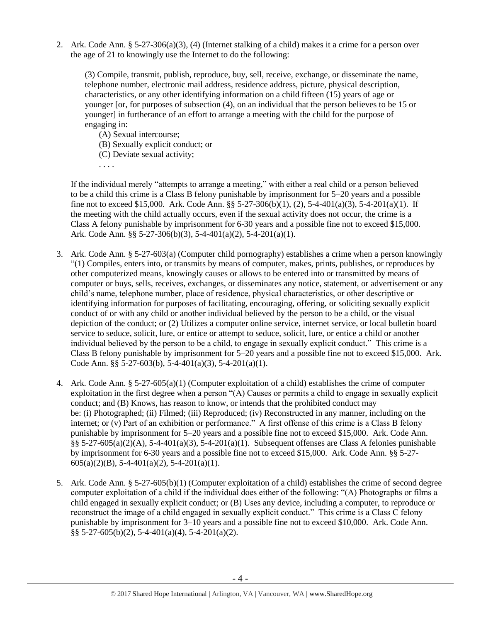2. Ark. Code Ann. § 5-27-306(a)(3), (4) (Internet stalking of a child) makes it a crime for a person over the age of 21 to knowingly use the Internet to do the following:

(3) Compile, transmit, publish, reproduce, buy, sell, receive, exchange, or disseminate the name, telephone number, electronic mail address, residence address, picture, physical description, characteristics, or any other identifying information on a child fifteen (15) years of age or younger [or, for purposes of subsection (4), on an individual that the person believes to be 15 or younger] in furtherance of an effort to arrange a meeting with the child for the purpose of engaging in:

(A) Sexual intercourse;

(B) Sexually explicit conduct; or

(C) Deviate sexual activity;

. . . .

If the individual merely "attempts to arrange a meeting," with either a real child or a person believed to be a child this crime is a Class B felony punishable by imprisonment for 5–20 years and a possible fine not to exceed \$15,000. Ark. Code Ann. §§ 5-27-306(b)(1), (2), 5-4-401(a)(3), 5-4-201(a)(1). If the meeting with the child actually occurs, even if the sexual activity does not occur, the crime is a Class A felony punishable by imprisonment for 6-30 years and a possible fine not to exceed \$15,000. Ark. Code Ann. §§ 5-27-306(b)(3), 5-4-401(a)(2), 5-4-201(a)(1).

- 3. Ark. Code Ann. § 5-27-603(a) (Computer child pornography) establishes a crime when a person knowingly "(1) Compiles, enters into, or transmits by means of computer, makes, prints, publishes, or reproduces by other computerized means, knowingly causes or allows to be entered into or transmitted by means of computer or buys, sells, receives, exchanges, or disseminates any notice, statement, or advertisement or any child's name, telephone number, place of residence, physical characteristics, or other descriptive or identifying information for purposes of facilitating, encouraging, offering, or soliciting sexually explicit conduct of or with any child or another individual believed by the person to be a child, or the visual depiction of the conduct; or (2) Utilizes a computer online service, internet service, or local bulletin board service to seduce, solicit, lure, or entice or attempt to seduce, solicit, lure, or entice a child or another individual believed by the person to be a child, to engage in sexually explicit conduct." This crime is a Class B felony punishable by imprisonment for 5–20 years and a possible fine not to exceed \$15,000. Ark. Code Ann. §§ 5-27-603(b), 5-4-401(a)(3), 5-4-201(a)(1).
- 4. Ark. Code Ann. § 5-27-605(a)(1) (Computer exploitation of a child) establishes the crime of computer exploitation in the first degree when a person "(A) Causes or permits a child to engage in sexually explicit conduct; and (B) Knows, has reason to know, or intends that the prohibited conduct may be: (i) Photographed; (ii) Filmed; (iii) Reproduced; (iv) Reconstructed in any manner, including on the internet; or (v) Part of an exhibition or performance." A first offense of this crime is a Class B felony punishable by imprisonment for 5–20 years and a possible fine not to exceed \$15,000. Ark. Code Ann.  $\S$ § 5-27-605(a)(2)(A), 5-4-401(a)(3), 5-4-201(a)(1). Subsequent offenses are Class A felonies punishable by imprisonment for 6-30 years and a possible fine not to exceed \$15,000. Ark. Code Ann. §§ 5-27-  $605(a)(2)(B)$ , 5-4-401(a)(2), 5-4-201(a)(1).
- 5. Ark. Code Ann. § 5-27-605(b)(1) (Computer exploitation of a child) establishes the crime of second degree computer exploitation of a child if the individual does either of the following: "(A) Photographs or films a child engaged in sexually explicit conduct; or (B) Uses any device, including a computer, to reproduce or reconstruct the image of a child engaged in sexually explicit conduct." This crime is a Class C felony punishable by imprisonment for 3–10 years and a possible fine not to exceed \$10,000. Ark. Code Ann. §§ 5-27-605(b)(2), 5-4-401(a)(4), 5-4-201(a)(2).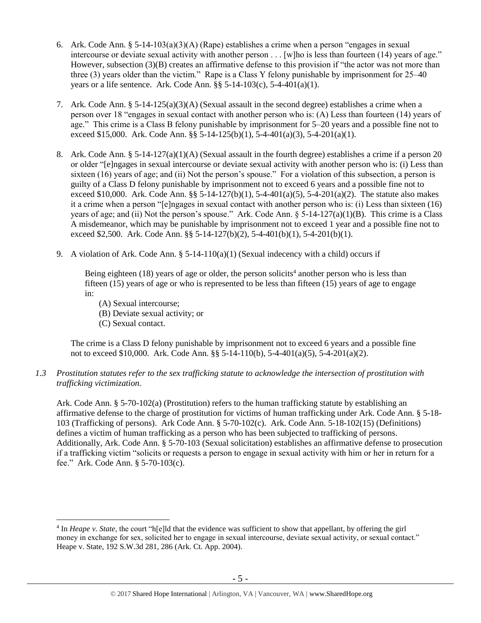- 6. Ark. Code Ann. § 5-14-103(a)(3)(A) (Rape) establishes a crime when a person "engages in sexual intercourse or deviate sexual activity with another person . . . [w]ho is less than fourteen (14) years of age." However, subsection (3)(B) creates an affirmative defense to this provision if "the actor was not more than three (3) years older than the victim." Rape is a Class Y felony punishable by imprisonment for 25–40 years or a life sentence. Ark. Code Ann.  $\S$ § 5-14-103(c), 5-4-401(a)(1).
- 7. Ark. Code Ann. § 5-14-125(a)(3)(A) (Sexual assault in the second degree) establishes a crime when a person over 18 "engages in sexual contact with another person who is: (A) Less than fourteen (14) years of age." This crime is a Class B felony punishable by imprisonment for 5–20 years and a possible fine not to exceed \$15,000. Ark. Code Ann. §§ 5-14-125(b)(1), 5-4-401(a)(3), 5-4-201(a)(1).
- 8. Ark. Code Ann. § 5-14-127(a)(1)(A) (Sexual assault in the fourth degree) establishes a crime if a person 20 or older "[e]ngages in sexual intercourse or deviate sexual activity with another person who is: (i) Less than sixteen (16) years of age; and (ii) Not the person's spouse." For a violation of this subsection, a person is guilty of a Class D felony punishable by imprisonment not to exceed 6 years and a possible fine not to exceed \$10,000. Ark. Code Ann. §§ 5-14-127(b)(1), 5-4-401(a)(5), 5-4-201(a)(2). The statute also makes it a crime when a person "[e]ngages in sexual contact with another person who is: (i) Less than sixteen (16) years of age; and (ii) Not the person's spouse." Ark. Code Ann.  $\S$  5-14-127(a)(1)(B). This crime is a Class A misdemeanor, which may be punishable by imprisonment not to exceed 1 year and a possible fine not to exceed \$2,500. Ark. Code Ann. §§ 5-14-127(b)(2), 5-4-401(b)(1), 5-4-201(b)(1).
- 9. A violation of Ark. Code Ann.  $\S$  5-14-110(a)(1) (Sexual indecency with a child) occurs if

Being eighteen (18) years of age or older, the person solicits<sup>4</sup> another person who is less than fifteen (15) years of age or who is represented to be less than fifteen (15) years of age to engage in:

- (A) Sexual intercourse;
- (B) Deviate sexual activity; or
- (C) Sexual contact.

 $\overline{a}$ 

The crime is a Class D felony punishable by imprisonment not to exceed 6 years and a possible fine not to exceed \$10,000. Ark. Code Ann. §§ 5-14-110(b), 5-4-401(a)(5), 5-4-201(a)(2).

*1.3 Prostitution statutes refer to the sex trafficking statute to acknowledge the intersection of prostitution with trafficking victimization.* 

Ark. Code Ann. § 5-70-102(a) (Prostitution) refers to the human trafficking statute by establishing an affirmative defense to the charge of prostitution for victims of human trafficking under Ark. Code Ann. § 5-18- 103 (Trafficking of persons). Ark Code Ann. § 5-70-102(c). Ark. Code Ann. 5-18-102(15) (Definitions) defines a victim of human trafficking as a person who has been subjected to trafficking of persons. Additionally, Ark. Code Ann. § 5-70-103 (Sexual solicitation) establishes an affirmative defense to prosecution if a trafficking victim "solicits or requests a person to engage in sexual activity with him or her in return for a fee." Ark. Code Ann. § 5-70-103(c).

<sup>&</sup>lt;sup>4</sup> In *Heape v. State*, the court "h[e]ld that the evidence was sufficient to show that appellant, by offering the girl money in exchange for sex, solicited her to engage in sexual intercourse, deviate sexual activity, or sexual contact." Heape v. State, 192 S.W.3d 281, 286 (Ark. Ct. App. 2004).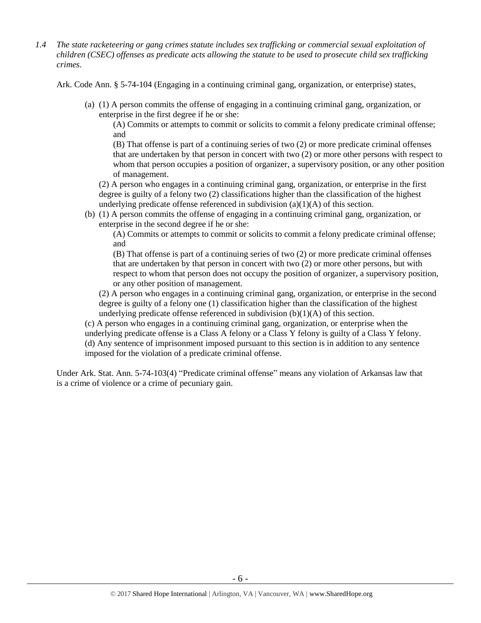*1.4 The state racketeering or gang crimes statute includes sex trafficking or commercial sexual exploitation of children (CSEC) offenses as predicate acts allowing the statute to be used to prosecute child sex trafficking crimes.* 

Ark. Code Ann. § 5-74-104 (Engaging in a continuing criminal gang, organization, or enterprise) states,

(a) (1) A person commits the offense of engaging in a continuing criminal gang, organization, or enterprise in the first degree if he or she:

(A) Commits or attempts to commit or solicits to commit a felony predicate criminal offense; and

(B) That offense is part of a continuing series of two (2) or more predicate criminal offenses that are undertaken by that person in concert with two (2) or more other persons with respect to whom that person occupies a position of organizer, a supervisory position, or any other position of management.

(2) A person who engages in a continuing criminal gang, organization, or enterprise in the first degree is guilty of a felony two (2) classifications higher than the classification of the highest underlying predicate offense referenced in subdivision (a)(1)(A) of this section.

(b) (1) A person commits the offense of engaging in a continuing criminal gang, organization, or enterprise in the second degree if he or she:

(A) Commits or attempts to commit or solicits to commit a felony predicate criminal offense; and

(B) That offense is part of a continuing series of two (2) or more predicate criminal offenses that are undertaken by that person in concert with two (2) or more other persons, but with respect to whom that person does not occupy the position of organizer, a supervisory position, or any other position of management.

(2) A person who engages in a continuing criminal gang, organization, or enterprise in the second degree is guilty of a felony one (1) classification higher than the classification of the highest underlying predicate offense referenced in subdivision  $(b)(1)(A)$  of this section.

(c) A person who engages in a continuing criminal gang, organization, or enterprise when the

underlying predicate offense is a Class A felony or a Class Y felony is guilty of a Class Y felony. (d) Any sentence of imprisonment imposed pursuant to this section is in addition to any sentence imposed for the violation of a predicate criminal offense.

Under Ark. Stat. Ann. 5-74-103(4) "Predicate criminal offense" means any violation of Arkansas law that is a crime of violence or a crime of pecuniary gain.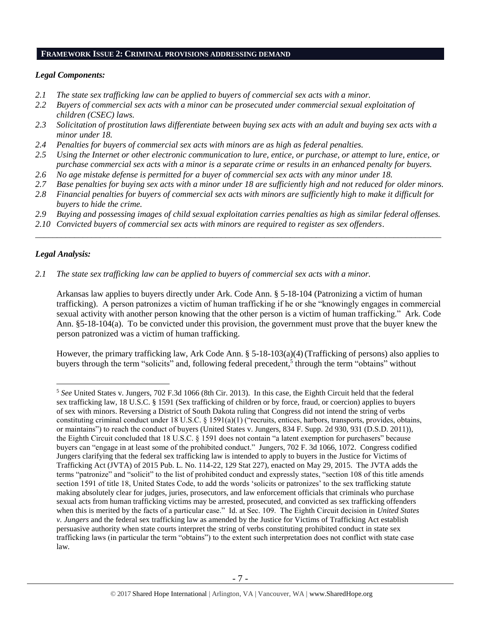#### **FRAMEWORK ISSUE 2: CRIMINAL PROVISIONS ADDRESSING DEMAND**

## *Legal Components:*

- *2.1 The state sex trafficking law can be applied to buyers of commercial sex acts with a minor.*
- *2.2 Buyers of commercial sex acts with a minor can be prosecuted under commercial sexual exploitation of children (CSEC) laws.*
- *2.3 Solicitation of prostitution laws differentiate between buying sex acts with an adult and buying sex acts with a minor under 18.*
- *2.4 Penalties for buyers of commercial sex acts with minors are as high as federal penalties.*
- *2.5 Using the Internet or other electronic communication to lure, entice, or purchase, or attempt to lure, entice, or purchase commercial sex acts with a minor is a separate crime or results in an enhanced penalty for buyers.*
- *2.6 No age mistake defense is permitted for a buyer of commercial sex acts with any minor under 18.*
- *2.7 Base penalties for buying sex acts with a minor under 18 are sufficiently high and not reduced for older minors.*
- *2.8 Financial penalties for buyers of commercial sex acts with minors are sufficiently high to make it difficult for buyers to hide the crime.*
- *2.9 Buying and possessing images of child sexual exploitation carries penalties as high as similar federal offenses.*

\_\_\_\_\_\_\_\_\_\_\_\_\_\_\_\_\_\_\_\_\_\_\_\_\_\_\_\_\_\_\_\_\_\_\_\_\_\_\_\_\_\_\_\_\_\_\_\_\_\_\_\_\_\_\_\_\_\_\_\_\_\_\_\_\_\_\_\_\_\_\_\_\_\_\_\_\_\_\_\_\_\_\_\_\_\_\_\_\_\_\_\_\_\_

*2.10 Convicted buyers of commercial sex acts with minors are required to register as sex offenders*.

## *Legal Analysis:*

 $\overline{a}$ 

*2.1 The state sex trafficking law can be applied to buyers of commercial sex acts with a minor.*

Arkansas law applies to buyers directly under Ark. Code Ann. § 5-18-104 (Patronizing a victim of human trafficking). A person patronizes a victim of human trafficking if he or she "knowingly engages in commercial sexual activity with another person knowing that the other person is a victim of human trafficking." Ark. Code Ann. §5-18-104(a). To be convicted under this provision, the government must prove that the buyer knew the person patronized was a victim of human trafficking.

However, the primary trafficking law, Ark Code Ann. § 5-18-103(a)(4) (Trafficking of persons) also applies to buyers through the term "solicits" and, following federal precedent,<sup>5</sup> through the term "obtains" without

<sup>5</sup> *See* United States v. Jungers, 702 F.3d 1066 (8th Cir. 2013). In this case, the Eighth Circuit held that the federal sex trafficking law, 18 U.S.C. § 1591 (Sex trafficking of children or by force, fraud, or coercion) applies to buyers of sex with minors. Reversing a District of South Dakota ruling that Congress did not intend the string of verbs constituting criminal conduct under 18 U.S.C. § 1591(a)(1) ("recruits, entices, harbors, transports, provides, obtains, or maintains") to reach the conduct of buyers (United States v. Jungers, 834 F. Supp. 2d 930, 931 (D.S.D. 2011)), the Eighth Circuit concluded that 18 U.S.C. § 1591 does not contain "a latent exemption for purchasers" because buyers can "engage in at least some of the prohibited conduct." Jungers, 702 F. 3d 1066, 1072. Congress codified Jungers clarifying that the federal sex trafficking law is intended to apply to buyers in the Justice for Victims of Trafficking Act (JVTA) of 2015 Pub. L. No. 114-22, 129 Stat 227), enacted on May 29, 2015. The JVTA adds the terms "patronize" and "solicit" to the list of prohibited conduct and expressly states, "section 108 of this title amends section 1591 of title 18, United States Code, to add the words 'solicits or patronizes' to the sex trafficking statute making absolutely clear for judges, juries, prosecutors, and law enforcement officials that criminals who purchase sexual acts from human trafficking victims may be arrested, prosecuted, and convicted as sex trafficking offenders when this is merited by the facts of a particular case." Id. at Sec. 109. The Eighth Circuit decision in *United States v. Jungers* and the federal sex trafficking law as amended by the Justice for Victims of Trafficking Act establish persuasive authority when state courts interpret the string of verbs constituting prohibited conduct in state sex trafficking laws (in particular the term "obtains") to the extent such interpretation does not conflict with state case law.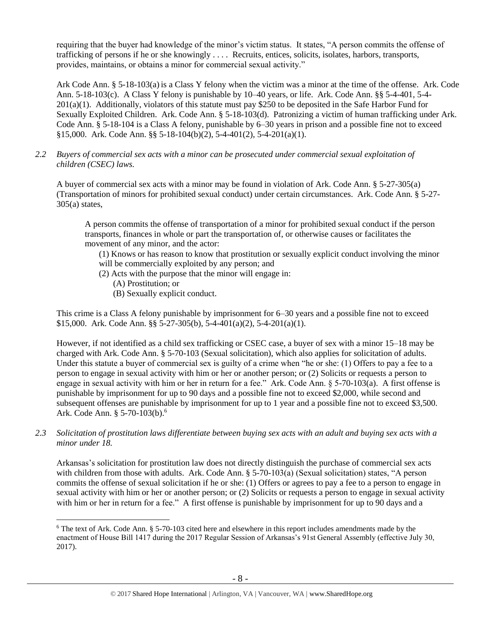requiring that the buyer had knowledge of the minor's victim status. It states, "A person commits the offense of trafficking of persons if he or she knowingly . . . . Recruits, entices, solicits, isolates, harbors, transports, provides, maintains, or obtains a minor for commercial sexual activity."

Ark Code Ann. § 5-18-103(a)is a Class Y felony when the victim was a minor at the time of the offense. Ark. Code Ann. 5-18-103(c). A Class Y felony is punishable by 10–40 years, or life. Ark. Code Ann. §§ 5-4-401, 5-4- 201(a)(1). Additionally, violators of this statute must pay \$250 to be deposited in the Safe Harbor Fund for Sexually Exploited Children. Ark. Code Ann. § 5-18-103(d). Patronizing a victim of human trafficking under Ark. Code Ann. § 5-18-104 is a Class A felony, punishable by 6–30 years in prison and a possible fine not to exceed §15,000. Ark. Code Ann. §§ 5-18-104(b)(2), 5-4-401(2), 5-4-201(a)(1).

*2.2 Buyers of commercial sex acts with a minor can be prosecuted under commercial sexual exploitation of children (CSEC) laws.*

A buyer of commercial sex acts with a minor may be found in violation of Ark. Code Ann. § 5-27-305(a) (Transportation of minors for prohibited sexual conduct) under certain circumstances. Ark. Code Ann. § 5-27-  $305(a)$  states,

A person commits the offense of transportation of a minor for prohibited sexual conduct if the person transports, finances in whole or part the transportation of, or otherwise causes or facilitates the movement of any minor, and the actor:

(1) Knows or has reason to know that prostitution or sexually explicit conduct involving the minor will be commercially exploited by any person; and

- (2) Acts with the purpose that the minor will engage in:
	- (A) Prostitution; or
	- (B) Sexually explicit conduct.

This crime is a Class A felony punishable by imprisonment for 6–30 years and a possible fine not to exceed \$15,000. Ark. Code Ann. §§ 5-27-305(b), 5-4-401(a)(2), 5-4-201(a)(1).

However, if not identified as a child sex trafficking or CSEC case, a buyer of sex with a minor 15–18 may be charged with Ark. Code Ann. § 5-70-103 (Sexual solicitation), which also applies for solicitation of adults. Under this statute a buyer of commercial sex is guilty of a crime when "he or she: (1) Offers to pay a fee to a person to engage in sexual activity with him or her or another person; or (2) Solicits or requests a person to engage in sexual activity with him or her in return for a fee." Ark. Code Ann. § 5-70-103(a). A first offense is punishable by imprisonment for up to 90 days and a possible fine not to exceed \$2,000, while second and subsequent offenses are punishable by imprisonment for up to 1 year and a possible fine not to exceed \$3,500. Ark. Code Ann. § 5-70-103(b).<sup>6</sup>

*2.3 Solicitation of prostitution laws differentiate between buying sex acts with an adult and buying sex acts with a minor under 18.*

<span id="page-7-0"></span>Arkansas's solicitation for prostitution law does not directly distinguish the purchase of commercial sex acts with children from those with adults. Ark. Code Ann. § 5-70-103(a) (Sexual solicitation) states, "A person commits the offense of sexual solicitation if he or she: (1) Offers or agrees to pay a fee to a person to engage in sexual activity with him or her or another person; or (2) Solicits or requests a person to engage in sexual activity with him or her in return for a fee." A first offense is punishable by imprisonment for up to 90 days and a

 $\overline{a}$ <sup>6</sup> The text of Ark. Code Ann. § 5-70-103 cited here and elsewhere in this report includes amendments made by the enactment of House Bill 1417 during the 2017 Regular Session of Arkansas's 91st General Assembly (effective July 30, 2017).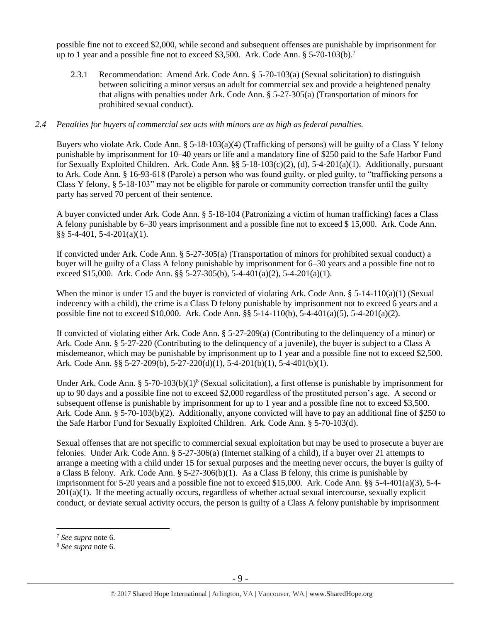possible fine not to exceed \$2,000, while second and subsequent offenses are punishable by imprisonment for up to 1 year and a possible fine not to exceed \$3,500. Ark. Code Ann. § 5-70-103(b).<sup>7</sup>

2.3.1 Recommendation: Amend Ark. Code Ann. § 5-70-103(a) (Sexual solicitation) to distinguish between soliciting a minor versus an adult for commercial sex and provide a heightened penalty that aligns with penalties under Ark. Code Ann. § 5-27-305(a) (Transportation of minors for prohibited sexual conduct).

#### *2.4 Penalties for buyers of commercial sex acts with minors are as high as federal penalties.*

Buyers who violate Ark. Code Ann.  $\S 5$ -18-103(a)(4) (Trafficking of persons) will be guilty of a Class Y felony punishable by imprisonment for 10–40 years or life and a mandatory fine of \$250 paid to the Safe Harbor Fund for Sexually Exploited Children. Ark. Code Ann. §§ 5-18-103(c)(2), (d), 5-4-201(a)(1). Additionally, pursuant to Ark. Code Ann. § 16-93-618 (Parole) a person who was found guilty, or pled guilty, to "trafficking persons a Class Y felony, § 5-18-103" may not be eligible for parole or community correction transfer until the guilty party has served 70 percent of their sentence.

A buyer convicted under Ark. Code Ann. § 5-18-104 (Patronizing a victim of human trafficking) faces a Class A felony punishable by 6–30 years imprisonment and a possible fine not to exceed \$ 15,000. Ark. Code Ann. §§ 5-4-401, 5-4-201(a)(1).

If convicted under Ark. Code Ann. § 5-27-305(a) (Transportation of minors for prohibited sexual conduct) a buyer will be guilty of a Class A felony punishable by imprisonment for 6–30 years and a possible fine not to exceed \$15,000. Ark. Code Ann. §§ 5-27-305(b), 5-4-401(a)(2), 5-4-201(a)(1).

When the minor is under 15 and the buyer is convicted of violating Ark. Code Ann.  $\S$  5-14-110(a)(1) (Sexual indecency with a child), the crime is a Class D felony punishable by imprisonment not to exceed 6 years and a possible fine not to exceed \$10,000. Ark. Code Ann. §§ 5-14-110(b), 5-4-401(a)(5), 5-4-201(a)(2).

If convicted of violating either Ark. Code Ann. § 5-27-209(a) (Contributing to the delinquency of a minor) or Ark. Code Ann. § 5-27-220 (Contributing to the delinquency of a juvenile), the buyer is subject to a Class A misdemeanor, which may be punishable by imprisonment up to 1 year and a possible fine not to exceed \$2,500. Ark. Code Ann. §§ 5-27-209(b), 5-27-220(d)(1), 5-4-201(b)(1), 5-4-401(b)(1).

Under Ark. Code Ann. § 5-70-103(b)(1)<sup>8</sup> (Sexual solicitation), a first offense is punishable by imprisonment for up to 90 days and a possible fine not to exceed \$2,000 regardless of the prostituted person's age. A second or subsequent offense is punishable by imprisonment for up to 1 year and a possible fine not to exceed \$3,500. Ark. Code Ann. § 5-70-103(b)(2). Additionally, anyone convicted will have to pay an additional fine of \$250 to the Safe Harbor Fund for Sexually Exploited Children. Ark. Code Ann. § 5-70-103(d).

Sexual offenses that are not specific to commercial sexual exploitation but may be used to prosecute a buyer are felonies. Under Ark. Code Ann. § 5-27-306(a) (Internet stalking of a child), if a buyer over 21 attempts to arrange a meeting with a child under 15 for sexual purposes and the meeting never occurs, the buyer is guilty of a Class B felony. Ark. Code Ann.  $\S 5-27-306(b)(1)$ . As a Class B felony, this crime is punishable by imprisonment for 5-20 years and a possible fine not to exceed \$15,000. Ark. Code Ann. §§ 5-4-401(a)(3), 5-4-  $201(a)(1)$ . If the meeting actually occurs, regardless of whether actual sexual intercourse, sexually explicit conduct, or deviate sexual activity occurs, the person is guilty of a Class A felony punishable by imprisonment

 $\overline{a}$ 

<sup>7</sup> *See supra* note [6.](#page-7-0)

<sup>8</sup> *See supra* note [6.](#page-7-0)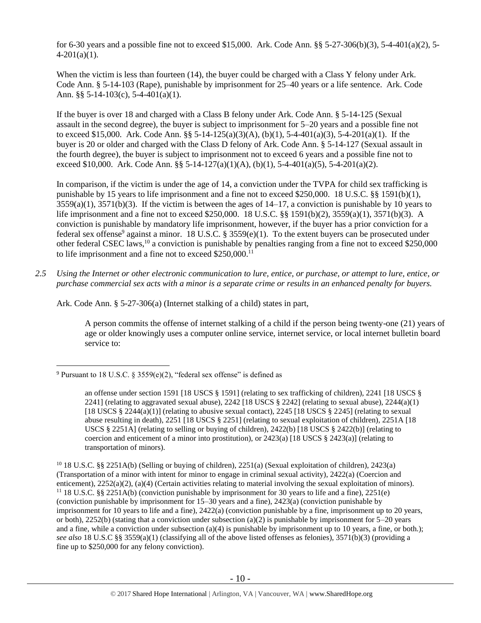for 6-30 years and a possible fine not to exceed \$15,000. Ark. Code Ann. §§ 5-27-306(b)(3), 5-4-401(a)(2), 5-  $4-201(a)(1)$ .

When the victim is less than fourteen (14), the buyer could be charged with a Class Y felony under Ark. Code Ann. § 5-14-103 (Rape), punishable by imprisonment for 25–40 years or a life sentence. Ark. Code Ann. §§ 5-14-103(c), 5-4-401(a)(1).

If the buyer is over 18 and charged with a Class B felony under Ark. Code Ann. § 5-14-125 (Sexual assault in the second degree), the buyer is subject to imprisonment for 5–20 years and a possible fine not to exceed \$15,000. Ark. Code Ann. §§ 5-14-125(a)(3)(A), (b)(1), 5-4-401(a)(3), 5-4-201(a)(1). If the buyer is 20 or older and charged with the Class D felony of Ark. Code Ann. § 5-14-127 (Sexual assault in the fourth degree), the buyer is subject to imprisonment not to exceed 6 years and a possible fine not to exceed \$10,000. Ark. Code Ann. §§ 5-14-127(a)(1)(A), (b)(1), 5-4-401(a)(5), 5-4-201(a)(2).

<span id="page-9-0"></span>In comparison, if the victim is under the age of 14, a conviction under the TVPA for child sex trafficking is punishable by 15 years to life imprisonment and a fine not to exceed \$250,000. 18 U.S.C. §§ 1591(b)(1),  $3559(a)(1)$ ,  $3571(b)(3)$ . If the victim is between the ages of  $14-17$ , a conviction is punishable by 10 years to life imprisonment and a fine not to exceed \$250,000. 18 U.S.C. §§ 1591(b)(2), 3559(a)(1), 3571(b)(3). A conviction is punishable by mandatory life imprisonment, however, if the buyer has a prior conviction for a federal sex offense<sup>9</sup> against a minor. 18 U.S.C. § 3559 $(e)(1)$ . To the extent buyers can be prosecuted under other federal CSEC laws,<sup>10</sup> a conviction is punishable by penalties ranging from a fine not to exceed \$250,000 to life imprisonment and a fine not to exceed \$250,000.<sup>11</sup>

*2.5 Using the Internet or other electronic communication to lure, entice, or purchase, or attempt to lure, entice, or purchase commercial sex acts with a minor is a separate crime or results in an enhanced penalty for buyers.*

Ark. Code Ann. § 5-27-306(a) (Internet stalking of a child) states in part,

A person commits the offense of internet stalking of a child if the person being twenty-one (21) years of age or older knowingly uses a computer online service, internet service, or local internet bulletin board service to:

 $\overline{a}$ 

<sup>&</sup>lt;sup>9</sup> Pursuant to 18 U.S.C. § 3559(e)(2), "federal sex offense" is defined as

an offense under section 1591 [18 USCS § 1591] (relating to sex trafficking of children), 2241 [18 USCS § 2241] (relating to aggravated sexual abuse), 2242 [18 USCS  $\S$  2242] (relating to sexual abuse), 2244(a)(1) [18 USCS § 2244(a)(1)] (relating to abusive sexual contact), 2245 [18 USCS § 2245] (relating to sexual abuse resulting in death), 2251 [18 USCS § 2251] (relating to sexual exploitation of children), 2251A [18 USCS § 2251A] (relating to selling or buying of children),  $2422(b)$  [18 USCS § 2422(b)] (relating to coercion and enticement of a minor into prostitution), or  $2423(a)$  [18 USCS § 2423(a)] (relating to transportation of minors).

<sup>&</sup>lt;sup>10</sup> 18 U.S.C. §§ 2251A(b) (Selling or buying of children), 2251(a) (Sexual exploitation of children), 2423(a) (Transportation of a minor with intent for minor to engage in criminal sexual activity), 2422(a) (Coercion and enticement), 2252(a)(2), (a)(4) (Certain activities relating to material involving the sexual exploitation of minors). <sup>11</sup> 18 U.S.C. §§ 2251A(b) (conviction punishable by imprisonment for 30 years to life and a fine), 2251(e) (conviction punishable by imprisonment for 15–30 years and a fine), 2423(a) (conviction punishable by imprisonment for 10 years to life and a fine), 2422(a) (conviction punishable by a fine, imprisonment up to 20 years, or both), 2252(b) (stating that a conviction under subsection (a)(2) is punishable by imprisonment for  $5-20$  years and a fine, while a conviction under subsection  $(a)(4)$  is punishable by imprisonment up to 10 years, a fine, or both.); *see also* 18 U.S.C §§ 3559(a)(1) (classifying all of the above listed offenses as felonies), 3571(b)(3) (providing a fine up to \$250,000 for any felony conviction).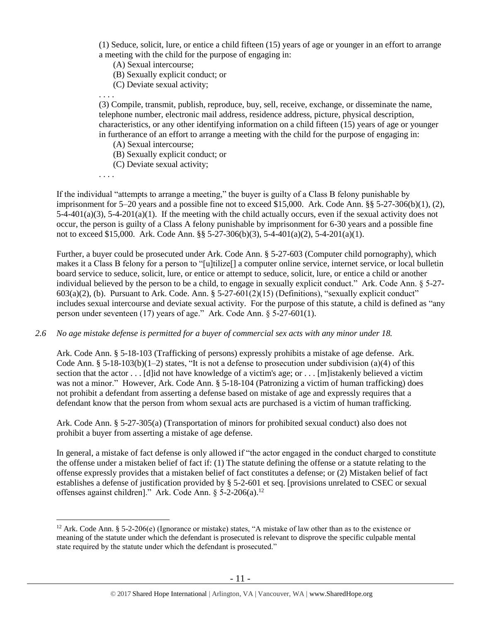(1) Seduce, solicit, lure, or entice a child fifteen (15) years of age or younger in an effort to arrange a meeting with the child for the purpose of engaging in:

(A) Sexual intercourse;

(B) Sexually explicit conduct; or

(C) Deviate sexual activity;

. . . . (3) Compile, transmit, publish, reproduce, buy, sell, receive, exchange, or disseminate the name, telephone number, electronic mail address, residence address, picture, physical description, characteristics, or any other identifying information on a child fifteen (15) years of age or younger in furtherance of an effort to arrange a meeting with the child for the purpose of engaging in:

(A) Sexual intercourse;

(B) Sexually explicit conduct; or

(C) Deviate sexual activity;

. . . .

 $\overline{a}$ 

If the individual "attempts to arrange a meeting," the buyer is guilty of a Class B felony punishable by imprisonment for 5–20 years and a possible fine not to exceed \$15,000. Ark. Code Ann. §§ 5-27-306(b)(1), (2),  $5-4-401(a)(3)$ ,  $5-4-201(a)(1)$ . If the meeting with the child actually occurs, even if the sexual activity does not occur, the person is guilty of a Class A felony punishable by imprisonment for 6-30 years and a possible fine not to exceed \$15,000. Ark. Code Ann. §§ 5-27-306(b)(3), 5-4-401(a)(2), 5-4-201(a)(1).

Further, a buyer could be prosecuted under Ark. Code Ann. § 5-27-603 (Computer child pornography), which makes it a Class B felony for a person to "[u]tilize[] a computer online service, internet service, or local bulletin board service to seduce, solicit, lure, or entice or attempt to seduce, solicit, lure, or entice a child or another individual believed by the person to be a child, to engage in sexually explicit conduct." Ark. Code Ann. § 5-27-  $603(a)(2)$ , (b). Pursuant to Ark. Code. Ann. § 5-27-601(2)(15) (Definitions), "sexually explicit conduct" includes sexual intercourse and deviate sexual activity. For the purpose of this statute, a child is defined as "any person under seventeen (17) years of age." Ark. Code Ann. § 5-27-601(1).

## *2.6 No age mistake defense is permitted for a buyer of commercial sex acts with any minor under 18.*

Ark. Code Ann. § 5-18-103 (Trafficking of persons) expressly prohibits a mistake of age defense. Ark. Code Ann. § 5-18-103(b)(1-2) states, "It is not a defense to prosecution under subdivision (a)(4) of this section that the actor . . . [d]id not have knowledge of a victim's age; or . . . [m]istakenly believed a victim was not a minor." However, Ark. Code Ann. § 5-18-104 (Patronizing a victim of human trafficking) does not prohibit a defendant from asserting a defense based on mistake of age and expressly requires that a defendant know that the person from whom sexual acts are purchased is a victim of human trafficking.

Ark. Code Ann. § 5-27-305(a) (Transportation of minors for prohibited sexual conduct) also does not prohibit a buyer from asserting a mistake of age defense.

In general, a mistake of fact defense is only allowed if "the actor engaged in the conduct charged to constitute the offense under a mistaken belief of fact if: (1) The statute defining the offense or a statute relating to the offense expressly provides that a mistaken belief of fact constitutes a defense; or (2) Mistaken belief of fact establishes a defense of justification provided by § 5-2-601 et seq. [provisions unrelated to CSEC or sexual offenses against children]." Ark. Code Ann. § 5-2-206(a).<sup>12</sup>

<sup>&</sup>lt;sup>12</sup> Ark. Code Ann. § 5-2-206(e) (Ignorance or mistake) states, "A mistake of law other than as to the existence or meaning of the statute under which the defendant is prosecuted is relevant to disprove the specific culpable mental state required by the statute under which the defendant is prosecuted."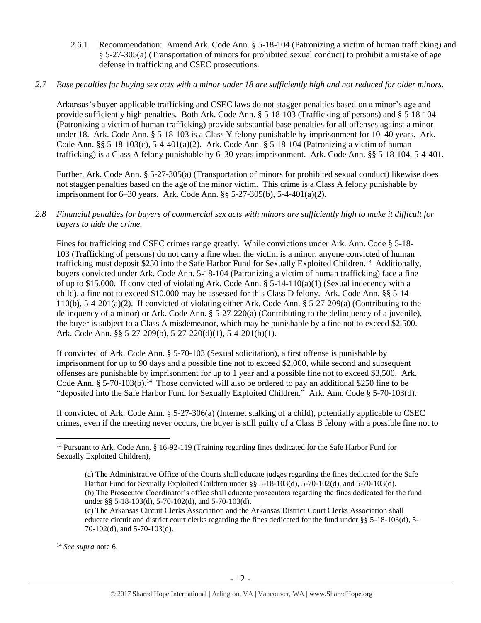2.6.1 Recommendation: Amend Ark. Code Ann. § 5-18-104 (Patronizing a victim of human trafficking) and § 5-27-305(a) (Transportation of minors for prohibited sexual conduct) to prohibit a mistake of age defense in trafficking and CSEC prosecutions.

## *2.7 Base penalties for buying sex acts with a minor under 18 are sufficiently high and not reduced for older minors.*

Arkansas's buyer-applicable trafficking and CSEC laws do not stagger penalties based on a minor's age and provide sufficiently high penalties. Both Ark. Code Ann. § 5-18-103 (Trafficking of persons) and § 5-18-104 (Patronizing a victim of human trafficking) provide substantial base penalties for all offenses against a minor under 18. Ark. Code Ann. § 5-18-103 is a Class Y felony punishable by imprisonment for 10–40 years. Ark. Code Ann. §§ 5-18-103(c), 5-4-401(a)(2). Ark. Code Ann. § 5-18-104 (Patronizing a victim of human trafficking) is a Class A felony punishable by 6–30 years imprisonment. Ark. Code Ann. §§ 5-18-104, 5-4-401.

Further, Ark. Code Ann. § 5-27-305(a) (Transportation of minors for prohibited sexual conduct) likewise does not stagger penalties based on the age of the minor victim. This crime is a Class A felony punishable by imprisonment for 6–30 years. Ark. Code Ann. §§ 5-27-305(b), 5-4-401(a)(2).

# *2.8 Financial penalties for buyers of commercial sex acts with minors are sufficiently high to make it difficult for buyers to hide the crime.*

<span id="page-11-0"></span>Fines for trafficking and CSEC crimes range greatly. While convictions under Ark. Ann. Code § 5-18- 103 (Trafficking of persons) do not carry a fine when the victim is a minor, anyone convicted of human trafficking must deposit \$250 into the Safe Harbor Fund for Sexually Exploited Children.<sup>13</sup> Additionally, buyers convicted under Ark. Code Ann. 5-18-104 (Patronizing a victim of human trafficking) face a fine of up to \$15,000. If convicted of violating Ark. Code Ann.  $\S$  5-14-110(a)(1) (Sexual indecency with a child), a fine not to exceed \$10,000 may be assessed for this Class D felony. Ark. Code Ann. §§ 5-14- 110(b), 5-4-201(a)(2). If convicted of violating either Ark. Code Ann. § 5-27-209(a) (Contributing to the delinquency of a minor) or Ark. Code Ann. § 5-27-220(a) (Contributing to the delinquency of a juvenile), the buyer is subject to a Class A misdemeanor, which may be punishable by a fine not to exceed \$2,500. Ark. Code Ann. §§ 5-27-209(b), 5-27-220(d)(1), 5-4-201(b)(1).

If convicted of Ark. Code Ann. § 5-70-103 (Sexual solicitation), a first offense is punishable by imprisonment for up to 90 days and a possible fine not to exceed \$2,000, while second and subsequent offenses are punishable by imprisonment for up to 1 year and a possible fine not to exceed \$3,500. Ark. Code Ann. § 5-70-103(b).<sup>14</sup> Those convicted will also be ordered to pay an additional \$250 fine to be "deposited into the Safe Harbor Fund for Sexually Exploited Children." Ark. Ann. Code § 5-70-103(d).

If convicted of Ark. Code Ann. § 5-27-306(a) (Internet stalking of a child), potentially applicable to CSEC crimes, even if the meeting never occurs, the buyer is still guilty of a Class B felony with a possible fine not to

(c) The Arkansas Circuit Clerks Association and the Arkansas District Court Clerks Association shall educate circuit and district court clerks regarding the fines dedicated for the fund under §§ 5-18-103(d), 5- 70-102(d), and 5-70-103(d).

<sup>14</sup> *See supra* note [6.](#page-7-0)

 $\overline{a}$ <sup>13</sup> Pursuant to Ark. Code Ann. § 16-92-119 (Training regarding fines dedicated for the Safe Harbor Fund for Sexually Exploited Children),

<sup>(</sup>a) The Administrative Office of the Courts shall educate judges regarding the fines dedicated for the Safe Harbor Fund for Sexually Exploited Children under §§ 5-18-103(d), 5-70-102(d), and 5-70-103(d). (b) The Prosecutor Coordinator's office shall educate prosecutors regarding the fines dedicated for the fund under §§ 5-18-103(d), 5-70-102(d), and 5-70-103(d).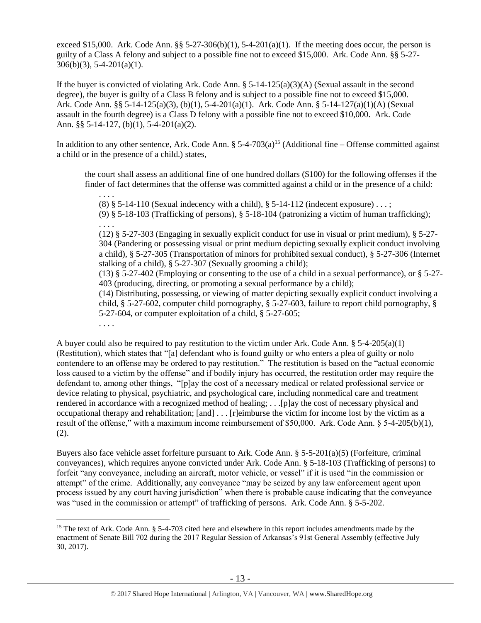exceed \$15,000. Ark. Code Ann. §§ 5-27-306(b)(1), 5-4-201(a)(1). If the meeting does occur, the person is guilty of a Class A felony and subject to a possible fine not to exceed \$15,000. Ark. Code Ann. §§ 5-27-  $306(b)(3)$ , 5-4-201(a)(1).

If the buyer is convicted of violating Ark. Code Ann.  $\S 5-14-125(a)(3)(A)$  (Sexual assault in the second degree), the buyer is guilty of a Class B felony and is subject to a possible fine not to exceed \$15,000. Ark. Code Ann. §§ 5-14-125(a)(3), (b)(1), 5-4-201(a)(1). Ark. Code Ann. § 5-14-127(a)(1)(A) (Sexual assault in the fourth degree) is a Class D felony with a possible fine not to exceed \$10,000. Ark. Code Ann. §§ 5-14-127, (b)(1), 5-4-201(a)(2).

In addition to any other sentence, Ark. Code Ann.  $\S 5-4-703(a)^{15}$  (Additional fine – Offense committed against a child or in the presence of a child.) states,

the court shall assess an additional fine of one hundred dollars (\$100) for the following offenses if the finder of fact determines that the offense was committed against a child or in the presence of a child:

<span id="page-12-0"></span>. . . . (8)  $§$  5-14-110 (Sexual indecency with a child),  $§$  5-14-112 (indecent exposure) ...; (9) § 5-18-103 (Trafficking of persons), § 5-18-104 (patronizing a victim of human trafficking);

. . . . (12) § 5-27-303 (Engaging in sexually explicit conduct for use in visual or print medium), § 5-27- 304 (Pandering or possessing visual or print medium depicting sexually explicit conduct involving a child), § 5-27-305 (Transportation of minors for prohibited sexual conduct), § 5-27-306 (Internet stalking of a child), § 5-27-307 (Sexually grooming a child);

(13) § 5-27-402 (Employing or consenting to the use of a child in a sexual performance), or § 5-27- 403 (producing, directing, or promoting a sexual performance by a child);

(14) Distributing, possessing, or viewing of matter depicting sexually explicit conduct involving a child, § 5-27-602, computer child pornography, § 5-27-603, failure to report child pornography, § 5-27-604, or computer exploitation of a child, § 5-27-605;

. . . .

A buyer could also be required to pay restitution to the victim under Ark. Code Ann.  $\S$  5-4-205(a)(1) (Restitution), which states that "[a] defendant who is found guilty or who enters a plea of guilty or nolo contendere to an offense may be ordered to pay restitution." The restitution is based on the "actual economic loss caused to a victim by the offense" and if bodily injury has occurred, the restitution order may require the defendant to, among other things, "[p]ay the cost of a necessary medical or related professional service or device relating to physical, psychiatric, and psychological care, including nonmedical care and treatment rendered in accordance with a recognized method of healing; . . .[p]ay the cost of necessary physical and occupational therapy and rehabilitation; [and] . . . [r]eimburse the victim for income lost by the victim as a result of the offense," with a maximum income reimbursement of \$50,000. Ark. Code Ann. § 5-4-205(b)(1), (2).

Buyers also face vehicle asset forfeiture pursuant to Ark. Code Ann. § 5-5-201(a)(5) (Forfeiture, criminal conveyances), which requires anyone convicted under Ark. Code Ann. § 5-18-103 (Trafficking of persons) to forfeit "any conveyance, including an aircraft, motor vehicle, or vessel" if it is used "in the commission or attempt" of the crime. Additionally, any conveyance "may be seized by any law enforcement agent upon process issued by any court having jurisdiction" when there is probable cause indicating that the conveyance was "used in the commission or attempt" of trafficking of persons. Ark. Code Ann. § 5-5-202.

 $\overline{a}$ <sup>15</sup> The text of Ark. Code Ann. § 5-4-703 cited here and elsewhere in this report includes amendments made by the enactment of Senate Bill 702 during the 2017 Regular Session of Arkansas's 91st General Assembly (effective July 30, 2017).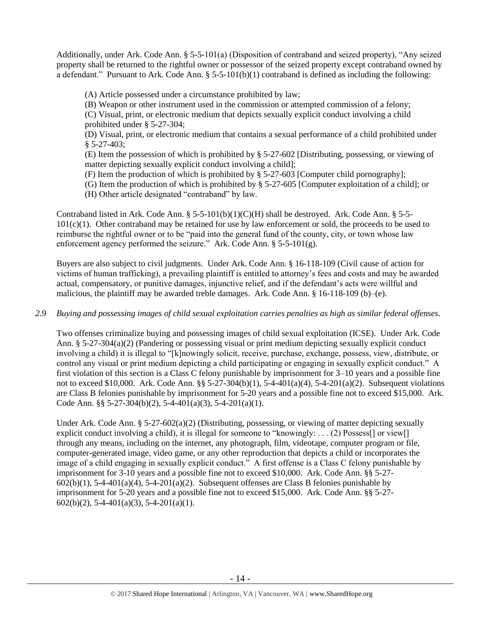Additionally, under Ark. Code Ann. § 5-5-101(a) (Disposition of contraband and seized property), "Any seized property shall be returned to the rightful owner or possessor of the seized property except contraband owned by a defendant." Pursuant to Ark. Code Ann. § 5-5-101(b)(1) contraband is defined as including the following:

(A) Article possessed under a circumstance prohibited by law;

(B) Weapon or other instrument used in the commission or attempted commission of a felony;

(C) Visual, print, or electronic medium that depicts sexually explicit conduct involving a child prohibited under § 5-27-304;

(D) Visual, print, or electronic medium that contains a sexual performance of a child prohibited under  $$5-27-403$ :

(E) Item the possession of which is prohibited by § 5-27-602 [Distributing, possessing, or viewing of matter depicting sexually explicit conduct involving a child];

(F) Item the production of which is prohibited by § 5-27-603 [Computer child pornography];

(G) Item the production of which is prohibited by § 5-27-605 [Computer exploitation of a child]; or

(H) Other article designated "contraband" by law.

Contraband listed in Ark. Code Ann.  $\S 5-5-101(b)(1)(C)(H)$  shall be destroyed. Ark. Code Ann.  $\S 5-5-101(b)(C)(H)$  $101(c)(1)$ . Other contraband may be retained for use by law enforcement or sold, the proceeds to be used to reimburse the rightful owner or to be "paid into the general fund of the county, city, or town whose law enforcement agency performed the seizure." Ark. Code Ann. § 5-5-101(g).

Buyers are also subject to civil judgments. Under Ark. Code Ann. § 16-118-109 (Civil cause of action for victims of human trafficking), a prevailing plaintiff is entitled to attorney's fees and costs and may be awarded actual, compensatory, or punitive damages, injunctive relief, and if the defendant's acts were willful and malicious, the plaintiff may be awarded treble damages. Ark. Code Ann. § 16-118-109 (b)–(e).

# *2.9 Buying and possessing images of child sexual exploitation carries penalties as high as similar federal offenses.*

Two offenses criminalize buying and possessing images of child sexual exploitation (ICSE). Under Ark. Code Ann. § 5-27-304(a)(2) (Pandering or possessing visual or print medium depicting sexually explicit conduct involving a child) it is illegal to "[k]nowingly solicit, receive, purchase, exchange, possess, view, distribute, or control any visual or print medium depicting a child participating or engaging in sexually explicit conduct." A first violation of this section is a Class C felony punishable by imprisonment for 3–10 years and a possible fine not to exceed \$10,000. Ark. Code Ann. §§ 5-27-304(b)(1), 5-4-401(a)(4), 5-4-201(a)(2). Subsequent violations are Class B felonies punishable by imprisonment for 5-20 years and a possible fine not to exceed \$15,000. Ark. Code Ann. §§ 5-27-304(b)(2), 5-4-401(a)(3), 5-4-201(a)(1).

Under Ark. Code Ann.  $\S 5-27-602(a)(2)$  (Distributing, possessing, or viewing of matter depicting sexually explicit conduct involving a child), it is illegal for someone to "knowingly: . . . (2) Possess[] or view[] through any means, including on the internet, any photograph, film, videotape, computer program or file, computer-generated image, video game, or any other reproduction that depicts a child or incorporates the image of a child engaging in sexually explicit conduct." A first offense is a Class C felony punishable by imprisonment for 3-10 years and a possible fine not to exceed \$10,000. Ark. Code Ann. §§ 5-27-  $602(b)(1)$ , 5-4-401(a)(4), 5-4-201(a)(2). Subsequent offenses are Class B felonies punishable by imprisonment for 5-20 years and a possible fine not to exceed \$15,000. Ark. Code Ann. §§ 5-27-  $602(b)(2)$ , 5-4-401(a)(3), 5-4-201(a)(1).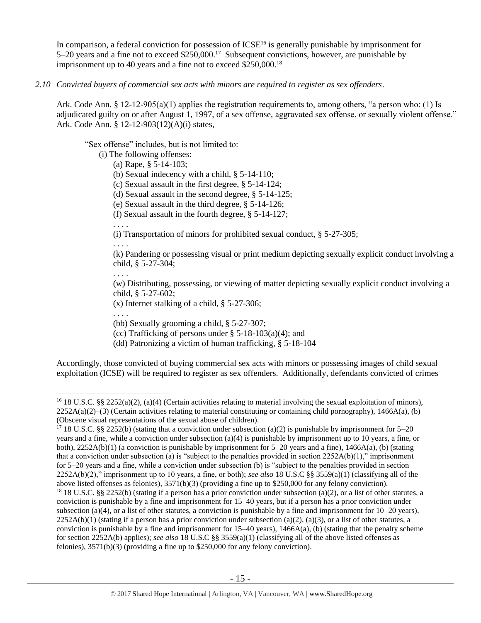In comparison, a federal conviction for possession of  $ICSE<sup>16</sup>$  is generally punishable by imprisonment for 5–20 years and a fine not to exceed \$250,000.<sup>17</sup> Subsequent convictions, however, are punishable by imprisonment up to 40 years and a fine not to exceed \$250,000.<sup>18</sup>

*2.10 Convicted buyers of commercial sex acts with minors are required to register as sex offenders*.

Ark. Code Ann. § 12-12-905(a)(1) applies the registration requirements to, among others, "a person who: (1) Is adjudicated guilty on or after August 1, 1997, of a sex offense, aggravated sex offense, or sexually violent offense." Ark. Code Ann. § 12-12-903(12)(A)(i) states,

"Sex offense" includes, but is not limited to:

- (i) The following offenses:
	- (a) Rape, § 5-14-103;
	- (b) Sexual indecency with a child, § 5-14-110;
	- (c) Sexual assault in the first degree, § 5-14-124;
	- (d) Sexual assault in the second degree, § 5-14-125;
	- (e) Sexual assault in the third degree, § 5-14-126;
	- (f) Sexual assault in the fourth degree, § 5-14-127;
	- . . . .

. . . .

(i) Transportation of minors for prohibited sexual conduct, § 5-27-305;

(k) Pandering or possessing visual or print medium depicting sexually explicit conduct involving a child, § 5-27-304;

. . . .

(w) Distributing, possessing, or viewing of matter depicting sexually explicit conduct involving a child, § 5-27-602;

(x) Internet stalking of a child, § 5-27-306;

. . . .

 $\overline{a}$ 

(bb) Sexually grooming a child, § 5-27-307;

(cc) Trafficking of persons under  $\S$  5-18-103(a)(4); and

(dd) Patronizing a victim of human trafficking, § 5-18-104

Accordingly, those convicted of buying commercial sex acts with minors or possessing images of child sexual exploitation (ICSE) will be required to register as sex offenders. Additionally, defendants convicted of crimes

<sup>&</sup>lt;sup>16</sup> 18 U.S.C. §§ 2252(a)(2), (a)(4) (Certain activities relating to material involving the sexual exploitation of minors),  $2252A(a)(2)$ –(3) (Certain activities relating to material constituting or containing child pornography), 1466A(a), (b) (Obscene visual representations of the sexual abuse of children).

<sup>&</sup>lt;sup>17</sup> 18 U.S.C. §§ 2252(b) (stating that a conviction under subsection (a)(2) is punishable by imprisonment for 5–20 years and a fine, while a conviction under subsection (a)(4) is punishable by imprisonment up to 10 years, a fine, or both), 2252A(b)(1) (a conviction is punishable by imprisonment for 5–20 years and a fine), 1466A(a), (b) (stating that a conviction under subsection (a) is "subject to the penalties provided in section  $2252A(b)(1)$ ," imprisonment for 5–20 years and a fine, while a conviction under subsection (b) is "subject to the penalties provided in section 2252A(b)(2)," imprisonment up to 10 years, a fine, or both); *see also* 18 U.S.C §§ 3559(a)(1) (classifying all of the above listed offenses as felonies), 3571(b)(3) (providing a fine up to \$250,000 for any felony conviction).

<sup>&</sup>lt;sup>18</sup> 18 U.S.C. §§ 2252(b) (stating if a person has a prior conviction under subsection (a)(2), or a list of other statutes, a conviction is punishable by a fine and imprisonment for 15–40 years, but if a person has a prior conviction under subsection (a)(4), or a list of other statutes, a conviction is punishable by a fine and imprisonment for  $10-20$  years),  $2252A(b)(1)$  (stating if a person has a prior conviction under subsection (a)(2), (a)(3), or a list of other statutes, a conviction is punishable by a fine and imprisonment for  $15-40$  years),  $1466A(a)$ , (b) (stating that the penalty scheme for section 2252A(b) applies); *see also* 18 U.S.C §§ 3559(a)(1) (classifying all of the above listed offenses as felonies), 3571(b)(3) (providing a fine up to \$250,000 for any felony conviction).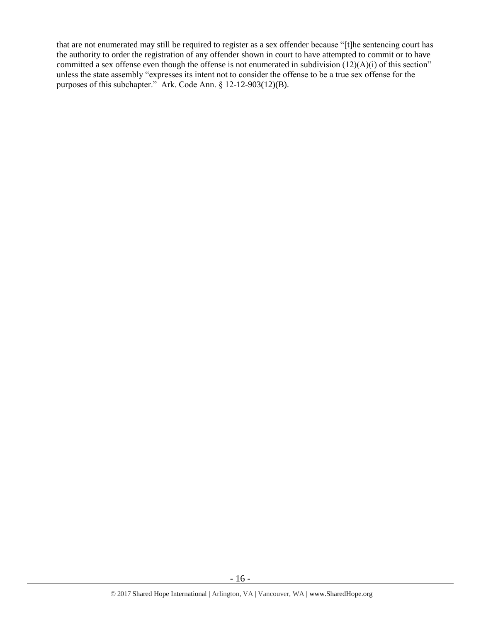that are not enumerated may still be required to register as a sex offender because "[t]he sentencing court has the authority to order the registration of any offender shown in court to have attempted to commit or to have committed a sex offense even though the offense is not enumerated in subdivision (12)(A)(i) of this section" unless the state assembly "expresses its intent not to consider the offense to be a true sex offense for the purposes of this subchapter." Ark. Code Ann. § 12-12-903(12)(B).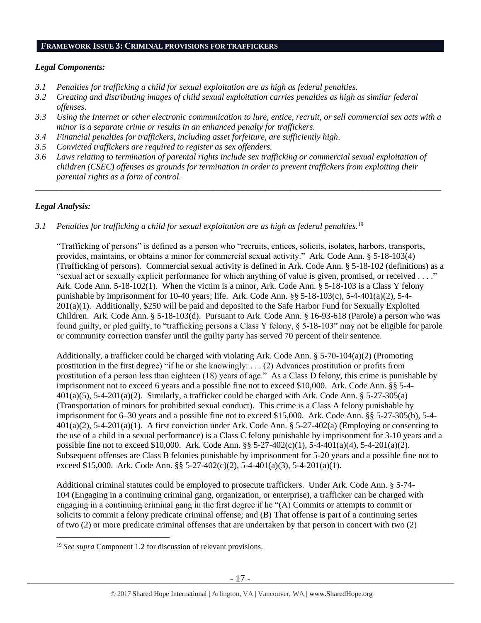#### **FRAMEWORK ISSUE 3: CRIMINAL PROVISIONS FOR TRAFFICKERS**

### *Legal Components:*

- *3.1 Penalties for trafficking a child for sexual exploitation are as high as federal penalties.*
- *3.2 Creating and distributing images of child sexual exploitation carries penalties as high as similar federal offenses*.
- *3.3 Using the Internet or other electronic communication to lure, entice, recruit, or sell commercial sex acts with a minor is a separate crime or results in an enhanced penalty for traffickers.*
- *3.4 Financial penalties for traffickers, including asset forfeiture, are sufficiently high*.
- *3.5 Convicted traffickers are required to register as sex offenders.*
- *3.6 Laws relating to termination of parental rights include sex trafficking or commercial sexual exploitation of children (CSEC) offenses as grounds for termination in order to prevent traffickers from exploiting their parental rights as a form of control.*

*\_\_\_\_\_\_\_\_\_\_\_\_\_\_\_\_\_\_\_\_\_\_\_\_\_\_\_\_\_\_\_\_\_\_\_\_\_\_\_\_\_\_\_\_\_\_\_\_\_\_\_\_\_\_\_\_\_\_\_\_\_\_\_\_\_\_\_\_\_\_\_\_\_\_\_\_\_\_\_\_\_\_\_\_\_\_\_\_\_\_\_\_\_\_*

## *Legal Analysis:*

 $\overline{a}$ 

#### *3.1 Penalties for trafficking a child for sexual exploitation are as high as federal penalties.*<sup>19</sup>

"Trafficking of persons" is defined as a person who "recruits, entices, solicits, isolates, harbors, transports, provides, maintains, or obtains a minor for commercial sexual activity." Ark. Code Ann. § 5-18-103(4) (Trafficking of persons). Commercial sexual activity is defined in Ark. Code Ann. § 5-18-102 (definitions) as a "sexual act or sexually explicit performance for which anything of value is given, promised, or received . . . ." Ark. Code Ann. 5-18-102(1). When the victim is a minor, Ark. Code Ann. § 5-18-103 is a Class Y felony punishable by imprisonment for 10-40 years; life. Ark. Code Ann.  $\S$ § 5-18-103(c), 5-4-401(a)(2), 5-4-201(a)(1). Additionally, \$250 will be paid and deposited to the Safe Harbor Fund for Sexually Exploited Children. Ark. Code Ann. § 5-18-103(d). Pursuant to Ark. Code Ann. § 16-93-618 (Parole) a person who was found guilty, or pled guilty, to "trafficking persons a Class Y felony, § 5-18-103" may not be eligible for parole or community correction transfer until the guilty party has served 70 percent of their sentence.

Additionally, a trafficker could be charged with violating Ark. Code Ann. § 5-70-104(a)(2) (Promoting prostitution in the first degree) "if he or she knowingly: . . . (2) Advances prostitution or profits from prostitution of a person less than eighteen (18) years of age." As a Class D felony, this crime is punishable by imprisonment not to exceed 6 years and a possible fine not to exceed \$10,000. Ark. Code Ann. §§ 5-4-  $401(a)(5)$ , 5-4-201(a)(2). Similarly, a trafficker could be charged with Ark. Code Ann. § 5-27-305(a) (Transportation of minors for prohibited sexual conduct). This crime is a Class A felony punishable by imprisonment for 6–30 years and a possible fine not to exceed \$15,000. Ark. Code Ann. §§ 5-27-305(b), 5-4-  $401(a)(2)$ , 5-4-201(a)(1). A first conviction under Ark. Code Ann. § 5-27-402(a) (Employing or consenting to the use of a child in a sexual performance) is a Class C felony punishable by imprisonment for 3-10 years and a possible fine not to exceed \$10,000. Ark. Code Ann. §§ 5-27-402(c)(1), 5-4-401(a)(4), 5-4-201(a)(2). Subsequent offenses are Class B felonies punishable by imprisonment for 5-20 years and a possible fine not to exceed \$15,000. Ark. Code Ann. §§ 5-27-402(c)(2), 5-4-401(a)(3), 5-4-201(a)(1).

Additional criminal statutes could be employed to prosecute traffickers. Under Ark. Code Ann. § 5-74- 104 (Engaging in a continuing criminal gang, organization, or enterprise), a trafficker can be charged with engaging in a continuing criminal gang in the first degree if he "(A) Commits or attempts to commit or solicits to commit a felony predicate criminal offense; and (B) That offense is part of a continuing series of two (2) or more predicate criminal offenses that are undertaken by that person in concert with two (2)

<sup>19</sup> *See supra* Component 1.2 for discussion of relevant provisions.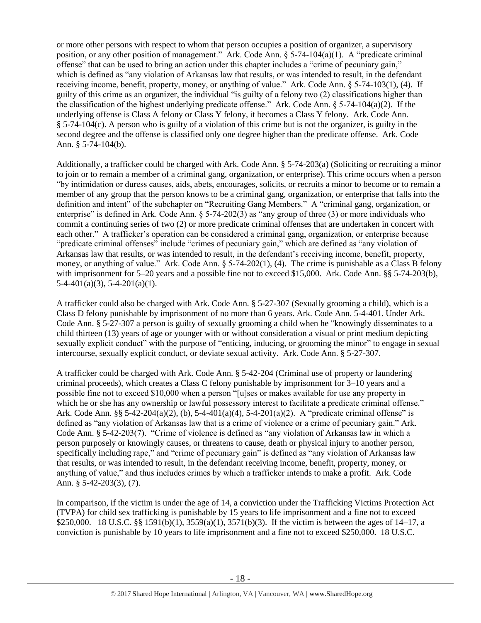or more other persons with respect to whom that person occupies a position of organizer, a supervisory position, or any other position of management." Ark. Code Ann. § 5-74-104(a)(1). A "predicate criminal offense" that can be used to bring an action under this chapter includes a "crime of pecuniary gain," which is defined as "any violation of Arkansas law that results, or was intended to result, in the defendant receiving income, benefit, property, money, or anything of value." Ark. Code Ann. § 5-74-103(1), (4). If guilty of this crime as an organizer, the individual "is guilty of a felony two (2) classifications higher than the classification of the highest underlying predicate offense." Ark. Code Ann.  $\S$  5-74-104(a)(2). If the underlying offense is Class A felony or Class Y felony, it becomes a Class Y felony. Ark. Code Ann. § 5-74-104(c). A person who is guilty of a violation of this crime but is not the organizer, is guilty in the second degree and the offense is classified only one degree higher than the predicate offense. Ark. Code Ann. § 5-74-104(b).

Additionally, a trafficker could be charged with Ark. Code Ann. § 5-74-203(a) (Soliciting or recruiting a minor to join or to remain a member of a criminal gang, organization, or enterprise). This crime occurs when a person "by intimidation or duress causes, aids, abets, encourages, solicits, or recruits a minor to become or to remain a member of any group that the person knows to be a criminal gang, organization, or enterprise that falls into the definition and intent" of the subchapter on "Recruiting Gang Members." A "criminal gang, organization, or enterprise" is defined in Ark. Code Ann. § 5-74-202(3) as "any group of three (3) or more individuals who commit a continuing series of two (2) or more predicate criminal offenses that are undertaken in concert with each other." A trafficker's operation can be considered a criminal gang, organization, or enterprise because "predicate criminal offenses" include "crimes of pecuniary gain," which are defined as "any violation of Arkansas law that results, or was intended to result, in the defendant's receiving income, benefit, property, money, or anything of value." Ark. Code Ann. § 5-74-202(1), (4). The crime is punishable as a Class B felony with imprisonment for 5–20 years and a possible fine not to exceed \$15,000. Ark. Code Ann. §§ 5-74-203(b),  $5-4-401(a)(3)$ ,  $5-4-201(a)(1)$ .

A trafficker could also be charged with Ark. Code Ann. § 5-27-307 (Sexually grooming a child), which is a Class D felony punishable by imprisonment of no more than 6 years. Ark. Code Ann. 5-4-401. Under Ark. Code Ann. § 5-27-307 a person is guilty of sexually grooming a child when he "knowingly disseminates to a child thirteen (13) years of age or younger with or without consideration a visual or print medium depicting sexually explicit conduct" with the purpose of "enticing, inducing, or grooming the minor" to engage in sexual intercourse, sexually explicit conduct, or deviate sexual activity. Ark. Code Ann. § 5-27-307.

A trafficker could be charged with Ark. Code Ann. § 5-42-204 (Criminal use of property or laundering criminal proceeds), which creates a Class C felony punishable by imprisonment for 3–10 years and a possible fine not to exceed \$10,000 when a person "[u]ses or makes available for use any property in which he or she has any ownership or lawful possessory interest to facilitate a predicate criminal offense." Ark. Code Ann. §§ 5-42-204(a)(2), (b), 5-4-401(a)(4), 5-4-201(a)(2). A "predicate criminal offense" is defined as "any violation of Arkansas law that is a crime of violence or a crime of pecuniary gain." Ark. Code Ann. § 5-42-203(7). "Crime of violence is defined as "any violation of Arkansas law in which a person purposely or knowingly causes, or threatens to cause, death or physical injury to another person, specifically including rape," and "crime of pecuniary gain" is defined as "any violation of Arkansas law that results, or was intended to result, in the defendant receiving income, benefit, property, money, or anything of value," and thus includes crimes by which a trafficker intends to make a profit. Ark. Code Ann. § 5-42-203(3), (7).

In comparison, if the victim is under the age of 14, a conviction under the Trafficking Victims Protection Act (TVPA) for child sex trafficking is punishable by 15 years to life imprisonment and a fine not to exceed \$250,000. 18 U.S.C. §§ 1591(b)(1), 3559(a)(1), 3571(b)(3). If the victim is between the ages of 14–17, a conviction is punishable by 10 years to life imprisonment and a fine not to exceed \$250,000. 18 U.S.C.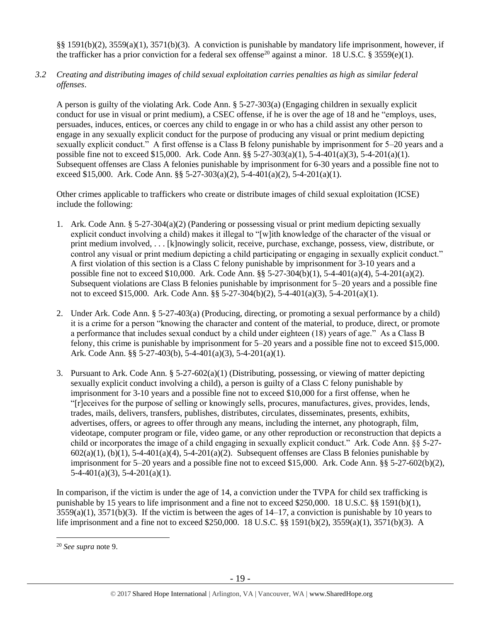§§ 1591(b)(2), 3559(a)(1), 3571(b)(3). A conviction is punishable by mandatory life imprisonment, however, if the trafficker has a prior conviction for a federal sex offense<sup>20</sup> against a minor. 18 U.S.C. § 3559(e)(1).

*3.2 Creating and distributing images of child sexual exploitation carries penalties as high as similar federal offenses*.

A person is guilty of the violating Ark. Code Ann. § 5-27-303(a) (Engaging children in sexually explicit conduct for use in visual or print medium), a CSEC offense, if he is over the age of 18 and he "employs, uses, persuades, induces, entices, or coerces any child to engage in or who has a child assist any other person to engage in any sexually explicit conduct for the purpose of producing any visual or print medium depicting sexually explicit conduct." A first offense is a Class B felony punishable by imprisonment for 5–20 years and a possible fine not to exceed \$15,000. Ark. Code Ann. §§ 5-27-303(a)(1), 5-4-401(a)(3), 5-4-201(a)(1). Subsequent offenses are Class A felonies punishable by imprisonment for 6-30 years and a possible fine not to exceed \$15,000. Ark. Code Ann. §§ 5-27-303(a)(2), 5-4-401(a)(2), 5-4-201(a)(1).

Other crimes applicable to traffickers who create or distribute images of child sexual exploitation (ICSE) include the following:

- 1. Ark. Code Ann. § 5-27-304(a)(2) (Pandering or possessing visual or print medium depicting sexually explicit conduct involving a child) makes it illegal to "[w]ith knowledge of the character of the visual or print medium involved, . . . [k]nowingly solicit, receive, purchase, exchange, possess, view, distribute, or control any visual or print medium depicting a child participating or engaging in sexually explicit conduct." A first violation of this section is a Class C felony punishable by imprisonment for 3-10 years and a possible fine not to exceed \$10,000. Ark. Code Ann. §§ 5-27-304(b)(1), 5-4-401(a)(4), 5-4-201(a)(2). Subsequent violations are Class B felonies punishable by imprisonment for 5–20 years and a possible fine not to exceed \$15,000. Ark. Code Ann. §§ 5-27-304(b)(2), 5-4-401(a)(3), 5-4-201(a)(1).
- 2. Under Ark. Code Ann. § 5-27-403(a) (Producing, directing, or promoting a sexual performance by a child) it is a crime for a person "knowing the character and content of the material, to produce, direct, or promote a performance that includes sexual conduct by a child under eighteen (18) years of age." As a Class B felony, this crime is punishable by imprisonment for 5–20 years and a possible fine not to exceed \$15,000. Ark. Code Ann. §§ 5-27-403(b), 5-4-401(a)(3), 5-4-201(a)(1).
- 3. Pursuant to Ark. Code Ann.  $\S 5-27-602(a)(1)$  (Distributing, possessing, or viewing of matter depicting sexually explicit conduct involving a child), a person is guilty of a Class C felony punishable by imprisonment for 3-10 years and a possible fine not to exceed \$10,000 for a first offense, when he "[r]eceives for the purpose of selling or knowingly sells, procures, manufactures, gives, provides, lends, trades, mails, delivers, transfers, publishes, distributes, circulates, disseminates, presents, exhibits, advertises, offers, or agrees to offer through any means, including the internet, any photograph, film, videotape, computer program or file, video game, or any other reproduction or reconstruction that depicts a child or incorporates the image of a child engaging in sexually explicit conduct." Ark. Code Ann. §§ 5-27-  $602(a)(1)$ ,  $(b)(1)$ ,  $5-4-401(a)(4)$ ,  $5-4-201(a)(2)$ . Subsequent offenses are Class B felonies punishable by imprisonment for 5–20 years and a possible fine not to exceed \$15,000. Ark. Code Ann. §§ 5-27-602(b)(2),  $5-4-401(a)(3)$ ,  $5-4-201(a)(1)$ .

In comparison, if the victim is under the age of 14, a conviction under the TVPA for child sex trafficking is punishable by 15 years to life imprisonment and a fine not to exceed \$250,000. 18 U.S.C. §§ 1591(b)(1),  $3559(a)(1)$ ,  $3571(b)(3)$ . If the victim is between the ages of  $14-17$ , a conviction is punishable by 10 years to life imprisonment and a fine not to exceed \$250,000. 18 U.S.C. §§ 1591(b)(2), 3559(a)(1), 3571(b)(3). A

 $\overline{a}$ 

<sup>20</sup> *See supra* note [9.](#page-9-0)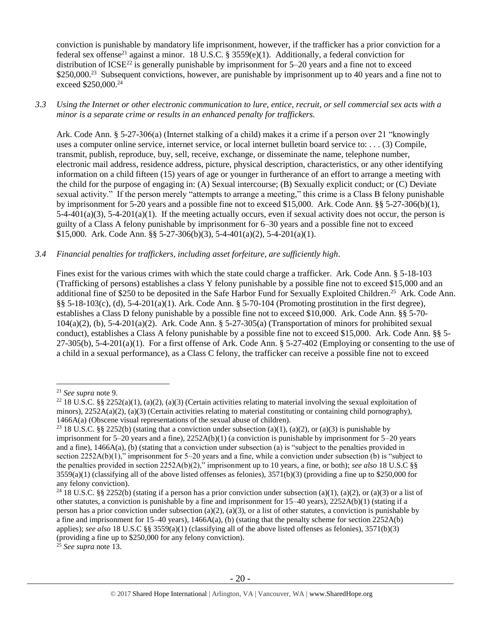conviction is punishable by mandatory life imprisonment, however, if the trafficker has a prior conviction for a federal sex offense<sup>21</sup> against a minor. 18 U.S.C. § 3559(e)(1). Additionally, a federal conviction for distribution of ICSE<sup>22</sup> is generally punishable by imprisonment for  $5-20$  years and a fine not to exceed \$250,000.<sup>23</sup> Subsequent convictions, however, are punishable by imprisonment up to 40 years and a fine not to exceed \$250,000.<sup>24</sup>

# *3.3 Using the Internet or other electronic communication to lure, entice, recruit, or sell commercial sex acts with a minor is a separate crime or results in an enhanced penalty for traffickers.*

Ark. Code Ann. § 5-27-306(a) (Internet stalking of a child) makes it a crime if a person over 21 "knowingly uses a computer online service, internet service, or local internet bulletin board service to: . . . (3) Compile, transmit, publish, reproduce, buy, sell, receive, exchange, or disseminate the name, telephone number, electronic mail address, residence address, picture, physical description, characteristics, or any other identifying information on a child fifteen (15) years of age or younger in furtherance of an effort to arrange a meeting with the child for the purpose of engaging in: (A) Sexual intercourse; (B) Sexually explicit conduct; or (C) Deviate sexual activity." If the person merely "attempts to arrange a meeting," this crime is a Class B felony punishable by imprisonment for 5-20 years and a possible fine not to exceed \$15,000. Ark. Code Ann. §§ 5-27-306(b)(1),  $5-4-401(a)(3)$ ,  $5-4-201(a)(1)$ . If the meeting actually occurs, even if sexual activity does not occur, the person is guilty of a Class A felony punishable by imprisonment for 6–30 years and a possible fine not to exceed \$15,000. Ark. Code Ann.  $\frac{25}{3}$  5-27-306(b)(3), 5-4-401(a)(2), 5-4-201(a)(1).

# *3.4 Financial penalties for traffickers, including asset forfeiture, are sufficiently high*.

Fines exist for the various crimes with which the state could charge a trafficker. Ark. Code Ann. § 5-18-103 (Trafficking of persons) establishes a class Y felony punishable by a possible fine not to exceed \$15,000 and an additional fine of \$250 to be deposited in the Safe Harbor Fund for Sexually Exploited Children.<sup>25</sup> Ark. Code Ann. §§ 5-18-103(c), (d), 5-4-201(a)(1). Ark. Code Ann. § 5-70-104 (Promoting prostitution in the first degree), establishes a Class D felony punishable by a possible fine not to exceed \$10,000. Ark. Code Ann. §§ 5-70-  $104(a)(2)$ , (b),  $5-4-201(a)(2)$ . Ark. Code Ann. §  $5-27-305(a)$  (Transportation of minors for prohibited sexual conduct), establishes a Class A felony punishable by a possible fine not to exceed \$15,000. Ark. Code Ann. §§ 5-  $27-305(b)$ ,  $5-4-201(a)(1)$ . For a first offense of Ark. Code Ann. §  $5-27-402$  (Employing or consenting to the use of a child in a sexual performance), as a Class C felony, the trafficker can receive a possible fine not to exceed

 $\overline{a}$ 

<sup>25</sup> *See supra* note [13.](#page-11-0)

<sup>21</sup> *See supra* note [9.](#page-9-0)

<sup>&</sup>lt;sup>22</sup> 18 U.S.C. §§ 2252(a)(1), (a)(2), (a)(3) (Certain activities relating to material involving the sexual exploitation of minors),  $2252A(a)(2)$ ,  $(a)(3)$  (Certain activities relating to material constituting or containing child pornography), 1466A(a) (Obscene visual representations of the sexual abuse of children).

<sup>&</sup>lt;sup>23</sup> 18 U.S.C. §§ 2252(b) (stating that a conviction under subsection (a)(1), (a)(2), or (a)(3) is punishable by imprisonment for  $5-20$  years and a fine),  $2252A(b)(1)$  (a conviction is punishable by imprisonment for  $5-20$  years and a fine), 1466A(a), (b) (stating that a conviction under subsection (a) is "subject to the penalties provided in section 2252A(b)(1)," imprisonment for 5–20 years and a fine, while a conviction under subsection (b) is "subject to the penalties provided in section 2252A(b)(2)," imprisonment up to 10 years, a fine, or both); *see also* 18 U.S.C §§  $3559(a)(1)$  (classifying all of the above listed offenses as felonies),  $3571(b)(3)$  (providing a fine up to \$250,000 for any felony conviction).

<sup>&</sup>lt;sup>24</sup> 18 U.S.C. §§ 2252(b) (stating if a person has a prior conviction under subsection (a)(1), (a)(2), or (a)(3) or a list of other statutes, a conviction is punishable by a fine and imprisonment for  $15-40$  years),  $2252A(b)(1)$  (stating if a person has a prior conviction under subsection (a)(2), (a)(3), or a list of other statutes, a conviction is punishable by a fine and imprisonment for  $15-40$  years),  $1466A(a)$ , (b) (stating that the penalty scheme for section  $2252A(b)$ applies); *see also* 18 U.S.C §§ 3559(a)(1) (classifying all of the above listed offenses as felonies), 3571(b)(3) (providing a fine up to \$250,000 for any felony conviction).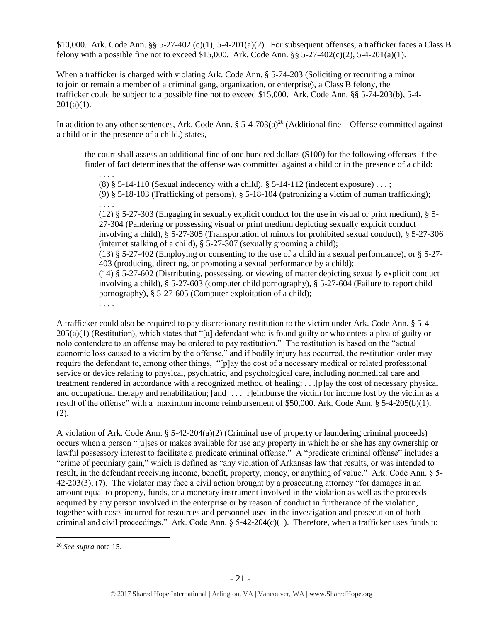\$10,000. Ark. Code Ann. §§ 5-27-402 (c)(1), 5-4-201(a)(2). For subsequent offenses, a trafficker faces a Class B felony with a possible fine not to exceed \$15,000. Ark. Code Ann.  $\S$ § 5-27-402(c)(2), 5-4-201(a)(1).

When a trafficker is charged with violating Ark. Code Ann. § 5-74-203 (Soliciting or recruiting a minor to join or remain a member of a criminal gang, organization, or enterprise), a Class B felony, the trafficker could be subject to a possible fine not to exceed \$15,000. Ark. Code Ann. §§ 5-74-203(b), 5-4-  $201(a)(1)$ .

In addition to any other sentences, Ark. Code Ann.  $\S$  5-4-703(a)<sup>26</sup> (Additional fine – Offense committed against a child or in the presence of a child.) states,

the court shall assess an additional fine of one hundred dollars (\$100) for the following offenses if the finder of fact determines that the offense was committed against a child or in the presence of a child:

. . . . (8)  $§$  5-14-110 (Sexual indecency with a child),  $§$  5-14-112 (indecent exposure) ...; (9) § 5-18-103 (Trafficking of persons), § 5-18-104 (patronizing a victim of human trafficking);

(12) § 5-27-303 (Engaging in sexually explicit conduct for the use in visual or print medium), § 5- 27-304 (Pandering or possessing visual or print medium depicting sexually explicit conduct involving a child), § 5-27-305 (Transportation of minors for prohibited sexual conduct), § 5-27-306 (internet stalking of a child), § 5-27-307 (sexually grooming a child); (13) § 5-27-402 (Employing or consenting to the use of a child in a sexual performance), or § 5-27- 403 (producing, directing, or promoting a sexual performance by a child); (14) § 5-27-602 (Distributing, possessing, or viewing of matter depicting sexually explicit conduct involving a child), § 5-27-603 (computer child pornography), § 5-27-604 (Failure to report child pornography), § 5-27-605 (Computer exploitation of a child); . . . .

A trafficker could also be required to pay discretionary restitution to the victim under Ark. Code Ann. § 5-4-  $205(a)(1)$  (Restitution), which states that "[a] defendant who is found guilty or who enters a plea of guilty or nolo contendere to an offense may be ordered to pay restitution." The restitution is based on the "actual economic loss caused to a victim by the offense," and if bodily injury has occurred, the restitution order may require the defendant to, among other things, "[p]ay the cost of a necessary medical or related professional service or device relating to physical, psychiatric, and psychological care, including nonmedical care and treatment rendered in accordance with a recognized method of healing; . . .[p]ay the cost of necessary physical and occupational therapy and rehabilitation; [and] . . . [r]eimburse the victim for income lost by the victim as a result of the offense" with a maximum income reimbursement of \$50,000. Ark. Code Ann. § 5-4-205(b)(1), (2).

A violation of Ark. Code Ann. § 5-42-204(a)(2) (Criminal use of property or laundering criminal proceeds) occurs when a person "[u]ses or makes available for use any property in which he or she has any ownership or lawful possessory interest to facilitate a predicate criminal offense." A "predicate criminal offense" includes a "crime of pecuniary gain," which is defined as "any violation of Arkansas law that results, or was intended to result, in the defendant receiving income, benefit, property, money, or anything of value." Ark. Code Ann. § 5- 42-203(3), (7). The violator may face a civil action brought by a prosecuting attorney "for damages in an amount equal to property, funds, or a monetary instrument involved in the violation as well as the proceeds acquired by any person involved in the enterprise or by reason of conduct in furtherance of the violation, together with costs incurred for resources and personnel used in the investigation and prosecution of both criminal and civil proceedings." Ark. Code Ann.  $\S$  5-42-204(c)(1). Therefore, when a trafficker uses funds to

 $\overline{a}$ 

. . . .

<sup>26</sup> *See supra* note [15.](#page-12-0)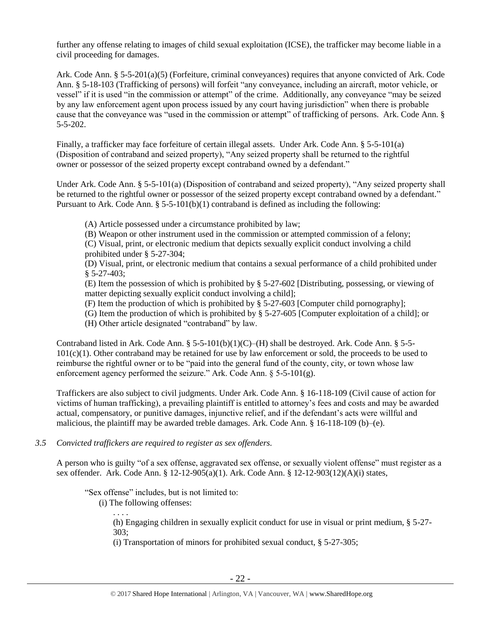further any offense relating to images of child sexual exploitation (ICSE), the trafficker may become liable in a civil proceeding for damages.

Ark. Code Ann. § 5-5-201(a)(5) (Forfeiture, criminal conveyances) requires that anyone convicted of Ark. Code Ann. § 5-18-103 (Trafficking of persons) will forfeit "any conveyance, including an aircraft, motor vehicle, or vessel" if it is used "in the commission or attempt" of the crime. Additionally, any conveyance "may be seized by any law enforcement agent upon process issued by any court having jurisdiction" when there is probable cause that the conveyance was "used in the commission or attempt" of trafficking of persons. Ark. Code Ann. § 5-5-202.

Finally, a trafficker may face forfeiture of certain illegal assets. Under Ark. Code Ann. § 5-5-101(a) (Disposition of contraband and seized property), "Any seized property shall be returned to the rightful owner or possessor of the seized property except contraband owned by a defendant."

Under Ark. Code Ann. § 5-5-101(a) (Disposition of contraband and seized property), "Any seized property shall be returned to the rightful owner or possessor of the seized property except contraband owned by a defendant." Pursuant to Ark. Code Ann.  $\S 5-5-101(b)(1)$  contraband is defined as including the following:

(A) Article possessed under a circumstance prohibited by law;

(B) Weapon or other instrument used in the commission or attempted commission of a felony;

(C) Visual, print, or electronic medium that depicts sexually explicit conduct involving a child prohibited under § 5-27-304;

(D) Visual, print, or electronic medium that contains a sexual performance of a child prohibited under § 5-27-403;

(E) Item the possession of which is prohibited by § 5-27-602 [Distributing, possessing, or viewing of matter depicting sexually explicit conduct involving a child];

- (F) Item the production of which is prohibited by § 5-27-603 [Computer child pornography];
- (G) Item the production of which is prohibited by § 5-27-605 [Computer exploitation of a child]; or

(H) Other article designated "contraband" by law.

Contraband listed in Ark. Code Ann.  $\S$  5-5-101(b)(1)(C)–(H) shall be destroyed. Ark. Code Ann.  $\S$  5-5-101(c)(1). Other contraband may be retained for use by law enforcement or sold, the proceeds to be used to reimburse the rightful owner or to be "paid into the general fund of the county, city, or town whose law enforcement agency performed the seizure." Ark. Code Ann. § 5-5-101(g).

Traffickers are also subject to civil judgments. Under Ark. Code Ann. § 16-118-109 (Civil cause of action for victims of human trafficking), a prevailing plaintiff is entitled to attorney's fees and costs and may be awarded actual, compensatory, or punitive damages, injunctive relief, and if the defendant's acts were willful and malicious, the plaintiff may be awarded treble damages. Ark. Code Ann. § 16-118-109 (b)–(e).

## *3.5 Convicted traffickers are required to register as sex offenders.*

A person who is guilty "of a sex offense, aggravated sex offense, or sexually violent offense" must register as a sex offender. Ark. Code Ann. § 12-12-905(a)(1). Ark. Code Ann. § 12-12-903(12)(A)(i) states,

"Sex offense" includes, but is not limited to:

(i) The following offenses:

. . . . (h) Engaging children in sexually explicit conduct for use in visual or print medium, § 5-27- 303;

(i) Transportation of minors for prohibited sexual conduct, § 5-27-305;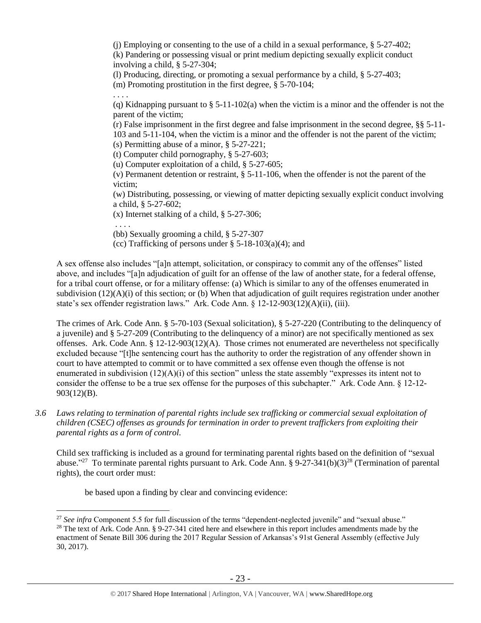(i) Employing or consenting to the use of a child in a sexual performance,  $\S$  5-27-402; (k) Pandering or possessing visual or print medium depicting sexually explicit conduct involving a child, § 5-27-304;

(l) Producing, directing, or promoting a sexual performance by a child, § 5-27-403;

(m) Promoting prostitution in the first degree, § 5-70-104;

. . . . (q) Kidnapping pursuant to  $\S$  5-11-102(a) when the victim is a minor and the offender is not the parent of the victim;

(r) False imprisonment in the first degree and false imprisonment in the second degree, §§ 5-11- 103 and 5-11-104, when the victim is a minor and the offender is not the parent of the victim; (s) Permitting abuse of a minor, § 5-27-221;

(t) Computer child pornography, § 5-27-603;

(u) Computer exploitation of a child, § 5-27-605;

(v) Permanent detention or restraint, § 5-11-106, when the offender is not the parent of the victim;

(w) Distributing, possessing, or viewing of matter depicting sexually explicit conduct involving a child, § 5-27-602;

(x) Internet stalking of a child, § 5-27-306;

. . . .

 $\overline{a}$ 

(bb) Sexually grooming a child, § 5-27-307

(cc) Trafficking of persons under  $\S$  5-18-103(a)(4); and

A sex offense also includes "[a]n attempt, solicitation, or conspiracy to commit any of the offenses" listed above, and includes "[a]n adjudication of guilt for an offense of the law of another state, for a federal offense, for a tribal court offense, or for a military offense: (a) Which is similar to any of the offenses enumerated in subdivision  $(12)(A)(i)$  of this section; or (b) When that adjudication of guilt requires registration under another state's sex offender registration laws." Ark. Code Ann.  $\S$  12-12-903(12)(A)(ii), (iii).

The crimes of Ark. Code Ann. § 5-70-103 (Sexual solicitation), § 5-27-220 (Contributing to the delinquency of a juvenile) and § 5-27-209 (Contributing to the delinquency of a minor) are not specifically mentioned as sex offenses. Ark. Code Ann. § 12-12-903(12)(A). Those crimes not enumerated are nevertheless not specifically excluded because "[t]he sentencing court has the authority to order the registration of any offender shown in court to have attempted to commit or to have committed a sex offense even though the offense is not enumerated in subdivision  $(12)(A)(i)$  of this section" unless the state assembly "expresses its intent not to consider the offense to be a true sex offense for the purposes of this subchapter." Ark. Code Ann. § 12-12- 903(12)(B).

*3.6 Laws relating to termination of parental rights include sex trafficking or commercial sexual exploitation of children (CSEC) offenses as grounds for termination in order to prevent traffickers from exploiting their parental rights as a form of control.* 

Child sex trafficking is included as a ground for terminating parental rights based on the definition of "sexual abuse."<sup>27</sup> To terminate parental rights pursuant to Ark. Code Ann. § 9-27-341(b)(3)<sup>28</sup> (Termination of parental rights), the court order must:

be based upon a finding by clear and convincing evidence:

<sup>&</sup>lt;sup>27</sup> See infra Component 5.5 for full discussion of the terms "dependent-neglected juvenile" and "sexual abuse." <sup>28</sup> The text of Ark. Code Ann. § 9-27-341 cited here and elsewhere in this report includes amendments made by the enactment of Senate Bill 306 during the 2017 Regular Session of Arkansas's 91st General Assembly (effective July 30, 2017).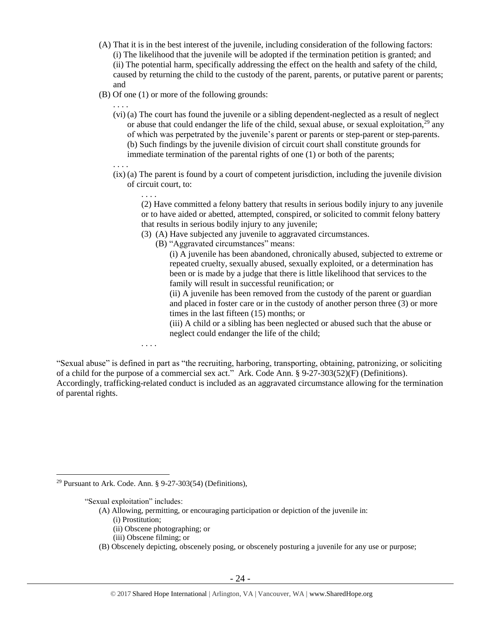- (A) That it is in the best interest of the juvenile, including consideration of the following factors: (i) The likelihood that the juvenile will be adopted if the termination petition is granted; and (ii) The potential harm, specifically addressing the effect on the health and safety of the child, caused by returning the child to the custody of the parent, parents, or putative parent or parents; and
- (B) Of one (1) or more of the following grounds:
	- . . . .
	- (vi) (a) The court has found the juvenile or a sibling dependent-neglected as a result of neglect or abuse that could endanger the life of the child, sexual abuse, or sexual exploitation,<sup>29</sup> any of which was perpetrated by the juvenile's parent or parents or step-parent or step-parents. (b) Such findings by the juvenile division of circuit court shall constitute grounds for immediate termination of the parental rights of one (1) or both of the parents;

. . . .

(ix) (a) The parent is found by a court of competent jurisdiction, including the juvenile division of circuit court, to:

. . . .

. . . .

(2) Have committed a felony battery that results in serious bodily injury to any juvenile or to have aided or abetted, attempted, conspired, or solicited to commit felony battery that results in serious bodily injury to any juvenile;

- (3) (A) Have subjected any juvenile to aggravated circumstances.
	- (B) "Aggravated circumstances" means:

(i) A juvenile has been abandoned, chronically abused, subjected to extreme or repeated cruelty, sexually abused, sexually exploited, or a determination has been or is made by a judge that there is little likelihood that services to the family will result in successful reunification; or

(ii) A juvenile has been removed from the custody of the parent or guardian and placed in foster care or in the custody of another person three (3) or more times in the last fifteen (15) months; or

(iii) A child or a sibling has been neglected or abused such that the abuse or neglect could endanger the life of the child;

"Sexual abuse" is defined in part as "the recruiting, harboring, transporting, obtaining, patronizing, or soliciting of a child for the purpose of a commercial sex act." Ark. Code Ann. § 9-27-303(52)(F) (Definitions). Accordingly, trafficking-related conduct is included as an aggravated circumstance allowing for the termination of parental rights.

<sup>29</sup> Pursuant to Ark. Code. Ann. § 9-27-303(54) (Definitions),

"Sexual exploitation" includes:

 $\overline{a}$ 

- (A) Allowing, permitting, or encouraging participation or depiction of the juvenile in:
	- (i) Prostitution;
	- (ii) Obscene photographing; or
	- (iii) Obscene filming; or
- (B) Obscenely depicting, obscenely posing, or obscenely posturing a juvenile for any use or purpose;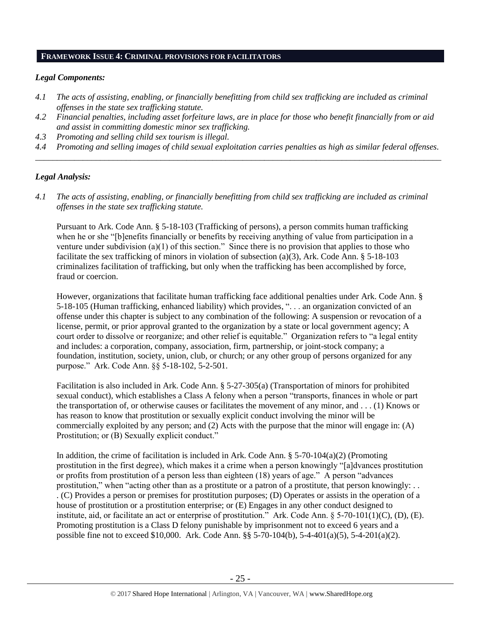#### **FRAMEWORK ISSUE 4: CRIMINAL PROVISIONS FOR FACILITATORS**

## *Legal Components:*

- *4.1 The acts of assisting, enabling, or financially benefitting from child sex trafficking are included as criminal offenses in the state sex trafficking statute.*
- *4.2 Financial penalties, including asset forfeiture laws, are in place for those who benefit financially from or aid and assist in committing domestic minor sex trafficking.*
- *4.3 Promoting and selling child sex tourism is illegal.*
- *4.4 Promoting and selling images of child sexual exploitation carries penalties as high as similar federal offenses. \_\_\_\_\_\_\_\_\_\_\_\_\_\_\_\_\_\_\_\_\_\_\_\_\_\_\_\_\_\_\_\_\_\_\_\_\_\_\_\_\_\_\_\_\_\_\_\_\_\_\_\_\_\_\_\_\_\_\_\_\_\_\_\_\_\_\_\_\_\_\_\_\_\_\_\_\_\_\_\_\_\_\_\_\_\_\_\_\_\_\_\_\_\_*

## *Legal Analysis:*

*4.1 The acts of assisting, enabling, or financially benefitting from child sex trafficking are included as criminal offenses in the state sex trafficking statute.*

Pursuant to Ark. Code Ann. § 5-18-103 (Trafficking of persons), a person commits human trafficking when he or she "[b]enefits financially or benefits by receiving anything of value from participation in a venture under subdivision (a)(1) of this section." Since there is no provision that applies to those who facilitate the sex trafficking of minors in violation of subsection (a)(3), Ark. Code Ann. § 5-18-103 criminalizes facilitation of trafficking, but only when the trafficking has been accomplished by force, fraud or coercion.

However, organizations that facilitate human trafficking face additional penalties under Ark. Code Ann. § 5-18-105 (Human trafficking, enhanced liability) which provides, ". . . an organization convicted of an offense under this chapter is subject to any combination of the following: A suspension or revocation of a license, permit, or prior approval granted to the organization by a state or local government agency; A court order to dissolve or reorganize; and other relief is equitable." Organization refers to "a legal entity and includes: a corporation, company, association, firm, partnership, or joint-stock company; a foundation, institution, society, union, club, or church; or any other group of persons organized for any purpose." Ark. Code Ann. §§ 5-18-102, 5-2-501.

Facilitation is also included in Ark. Code Ann. § 5-27-305(a) (Transportation of minors for prohibited sexual conduct), which establishes a Class A felony when a person "transports, finances in whole or part the transportation of, or otherwise causes or facilitates the movement of any minor, and . . . (1) Knows or has reason to know that prostitution or sexually explicit conduct involving the minor will be commercially exploited by any person; and (2) Acts with the purpose that the minor will engage in: (A) Prostitution; or (B) Sexually explicit conduct."

In addition, the crime of facilitation is included in Ark. Code Ann.  $\S$  5-70-104(a)(2) (Promoting prostitution in the first degree), which makes it a crime when a person knowingly "[a]dvances prostitution or profits from prostitution of a person less than eighteen (18) years of age." A person "advances prostitution," when "acting other than as a prostitute or a patron of a prostitute, that person knowingly: . . . (C) Provides a person or premises for prostitution purposes; (D) Operates or assists in the operation of a house of prostitution or a prostitution enterprise; or (E) Engages in any other conduct designed to institute, aid, or facilitate an act or enterprise of prostitution." Ark. Code Ann. § 5-70-101(1)(C), (D), (E). Promoting prostitution is a Class D felony punishable by imprisonment not to exceed 6 years and a possible fine not to exceed \$10,000. Ark. Code Ann. §§ 5-70-104(b), 5-4-401(a)(5), 5-4-201(a)(2).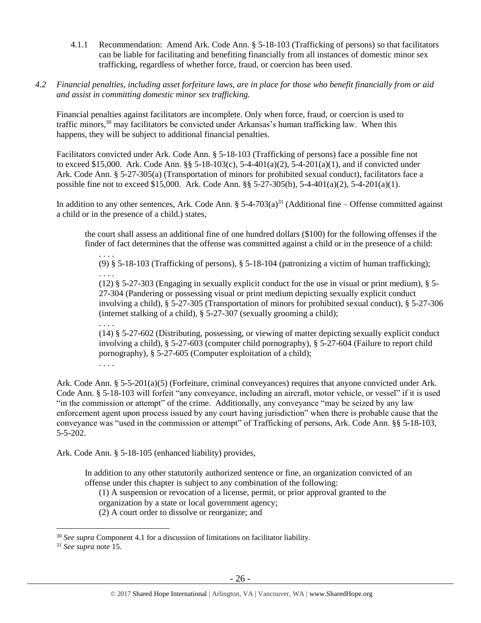- 4.1.1 Recommendation: Amend Ark. Code Ann. § 5-18-103 (Trafficking of persons) so that facilitators can be liable for facilitating and benefiting financially from all instances of domestic minor sex trafficking, regardless of whether force, fraud, or coercion has been used.
- *4.2 Financial penalties, including asset forfeiture laws, are in place for those who benefit financially from or aid and assist in committing domestic minor sex trafficking.*

Financial penalties against facilitators are incomplete. Only when force, fraud, or coercion is used to traffic minors,<sup>30</sup> may facilitators be convicted under Arkansas's human trafficking law. When this happens, they will be subject to additional financial penalties.

Facilitators convicted under Ark. Code Ann. § 5-18-103 (Trafficking of persons) face a possible fine not to exceed \$15,000. Ark. Code Ann. §§ 5-18-103(c), 5-4-401(a)(2), 5-4-201(a)(1), and if convicted under Ark. Code Ann. § 5-27-305(a) (Transportation of minors for prohibited sexual conduct), facilitators face a possible fine not to exceed \$15,000. Ark. Code Ann. §§ 5-27-305(b), 5-4-401(a)(2), 5-4-201(a)(1).

In addition to any other sentences, Ark. Code Ann.  $\S$  5-4-703(a)<sup>31</sup> (Additional fine – Offense committed against a child or in the presence of a child.) states,

the court shall assess an additional fine of one hundred dollars (\$100) for the following offenses if the finder of fact determines that the offense was committed against a child or in the presence of a child:

. . . . (9) § 5-18-103 (Trafficking of persons), § 5-18-104 (patronizing a victim of human trafficking); . . . .

(12) § 5-27-303 (Engaging in sexually explicit conduct for the use in visual or print medium), § 5- 27-304 (Pandering or possessing visual or print medium depicting sexually explicit conduct involving a child), § 5-27-305 (Transportation of minors for prohibited sexual conduct), § 5-27-306 (internet stalking of a child), § 5-27-307 (sexually grooming a child);

(14) § 5-27-602 (Distributing, possessing, or viewing of matter depicting sexually explicit conduct involving a child), § 5-27-603 (computer child pornography), § 5-27-604 (Failure to report child pornography), § 5-27-605 (Computer exploitation of a child);

. . . .

. . . .

Ark. Code Ann. § 5-5-201(a)(5) (Forfeiture, criminal conveyances) requires that anyone convicted under Ark. Code Ann. § 5-18-103 will forfeit "any conveyance, including an aircraft, motor vehicle, or vessel" if it is used "in the commission or attempt" of the crime. Additionally, any conveyance "may be seized by any law enforcement agent upon process issued by any court having jurisdiction" when there is probable cause that the conveyance was "used in the commission or attempt" of Trafficking of persons, Ark. Code Ann. §§ 5-18-103, 5-5-202.

Ark. Code Ann. § 5-18-105 (enhanced liability) provides,

In addition to any other statutorily authorized sentence or fine, an organization convicted of an offense under this chapter is subject to any combination of the following:

(1) A suspension or revocation of a license, permit, or prior approval granted to the

organization by a state or local government agency;

(2) A court order to dissolve or reorganize; and

 $\overline{a}$ 

<sup>30</sup> *See supra* Component 4.1 for a discussion of limitations on facilitator liability.

<sup>31</sup> *See supra* note [15.](#page-12-0)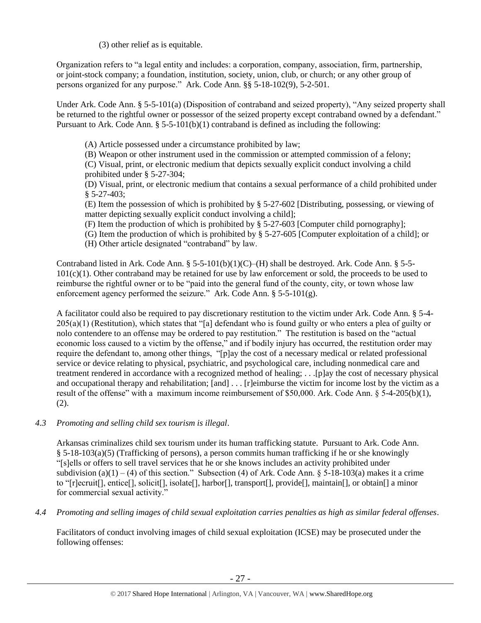(3) other relief as is equitable.

Organization refers to "a legal entity and includes: a corporation, company, association, firm, partnership, or joint-stock company; a foundation, institution, society, union, club, or church; or any other group of persons organized for any purpose." Ark. Code Ann. §§ 5-18-102(9), 5-2-501.

Under Ark. Code Ann. § 5-5-101(a) (Disposition of contraband and seized property), "Any seized property shall be returned to the rightful owner or possessor of the seized property except contraband owned by a defendant." Pursuant to Ark. Code Ann.  $\S 5-5-101(b)(1)$  contraband is defined as including the following:

(A) Article possessed under a circumstance prohibited by law;

(B) Weapon or other instrument used in the commission or attempted commission of a felony;

(C) Visual, print, or electronic medium that depicts sexually explicit conduct involving a child prohibited under § 5-27-304;

(D) Visual, print, or electronic medium that contains a sexual performance of a child prohibited under § 5-27-403;

(E) Item the possession of which is prohibited by § 5-27-602 [Distributing, possessing, or viewing of matter depicting sexually explicit conduct involving a child];

- (F) Item the production of which is prohibited by § 5-27-603 [Computer child pornography];
- (G) Item the production of which is prohibited by § 5-27-605 [Computer exploitation of a child]; or
- (H) Other article designated "contraband" by law.

Contraband listed in Ark. Code Ann.  $\S 5-5-101(b)(1)(C)$ –(H) shall be destroyed. Ark. Code Ann.  $\S 5-5-101(b)(1)(C)$  $101(c)(1)$ . Other contraband may be retained for use by law enforcement or sold, the proceeds to be used to reimburse the rightful owner or to be "paid into the general fund of the county, city, or town whose law enforcement agency performed the seizure." Ark. Code Ann. § 5-5-101(g).

A facilitator could also be required to pay discretionary restitution to the victim under Ark. Code Ann. § 5-4-  $205(a)(1)$  (Restitution), which states that "[a] defendant who is found guilty or who enters a plea of guilty or nolo contendere to an offense may be ordered to pay restitution." The restitution is based on the "actual economic loss caused to a victim by the offense," and if bodily injury has occurred, the restitution order may require the defendant to, among other things, "[p]ay the cost of a necessary medical or related professional service or device relating to physical, psychiatric, and psychological care, including nonmedical care and treatment rendered in accordance with a recognized method of healing; . . .[p]ay the cost of necessary physical and occupational therapy and rehabilitation; [and] ... [r]eimburse the victim for income lost by the victim as a result of the offense" with a maximum income reimbursement of \$50,000. Ark. Code Ann. § 5-4-205(b)(1), (2).

# *4.3 Promoting and selling child sex tourism is illegal*.

Arkansas criminalizes child sex tourism under its human trafficking statute. Pursuant to Ark. Code Ann. § 5-18-103(a)(5) (Trafficking of persons), a person commits human trafficking if he or she knowingly "[s]ells or offers to sell travel services that he or she knows includes an activity prohibited under subdivision (a)(1) – (4) of this section." Subsection (4) of Ark. Code Ann.  $\S$  5-18-103(a) makes it a crime to "[r]ecruit[], entice[], solicit[], isolate[], harbor[], transport[], provide[], maintain[], or obtain[] a minor for commercial sexual activity."

*4.4 Promoting and selling images of child sexual exploitation carries penalties as high as similar federal offenses*.

Facilitators of conduct involving images of child sexual exploitation (ICSE) may be prosecuted under the following offenses: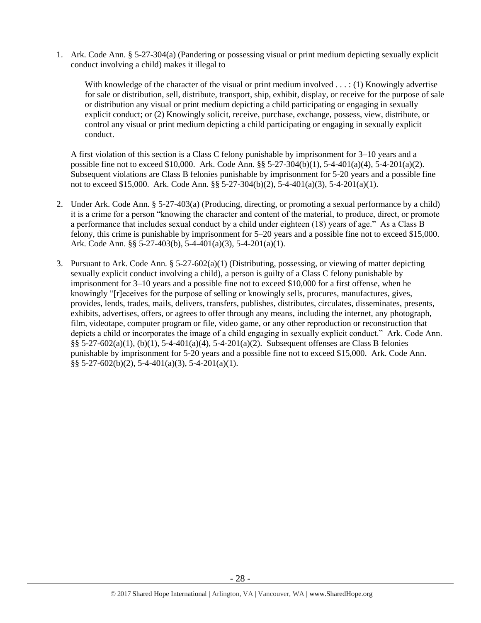1. Ark. Code Ann. § 5-27-304(a) (Pandering or possessing visual or print medium depicting sexually explicit conduct involving a child) makes it illegal to

With knowledge of the character of the visual or print medium involved  $\dots$ : (1) Knowingly advertise for sale or distribution, sell, distribute, transport, ship, exhibit, display, or receive for the purpose of sale or distribution any visual or print medium depicting a child participating or engaging in sexually explicit conduct; or (2) Knowingly solicit, receive, purchase, exchange, possess, view, distribute, or control any visual or print medium depicting a child participating or engaging in sexually explicit conduct.

A first violation of this section is a Class C felony punishable by imprisonment for 3–10 years and a possible fine not to exceed \$10,000. Ark. Code Ann. §§ 5-27-304(b)(1), 5-4-401(a)(4), 5-4-201(a)(2). Subsequent violations are Class B felonies punishable by imprisonment for 5-20 years and a possible fine not to exceed \$15,000. Ark. Code Ann. §§ 5-27-304(b)(2), 5-4-401(a)(3), 5-4-201(a)(1).

- 2. Under Ark. Code Ann. § 5-27-403(a) (Producing, directing, or promoting a sexual performance by a child) it is a crime for a person "knowing the character and content of the material, to produce, direct, or promote a performance that includes sexual conduct by a child under eighteen (18) years of age." As a Class B felony, this crime is punishable by imprisonment for 5–20 years and a possible fine not to exceed \$15,000. Ark. Code Ann. §§ 5-27-403(b), 5-4-401(a)(3), 5-4-201(a)(1).
- 3. Pursuant to Ark. Code Ann.  $\S 5-27-602(a)(1)$  (Distributing, possessing, or viewing of matter depicting sexually explicit conduct involving a child), a person is guilty of a Class C felony punishable by imprisonment for 3–10 years and a possible fine not to exceed \$10,000 for a first offense, when he knowingly "[r]eceives for the purpose of selling or knowingly sells, procures, manufactures, gives, provides, lends, trades, mails, delivers, transfers, publishes, distributes, circulates, disseminates, presents, exhibits, advertises, offers, or agrees to offer through any means, including the internet, any photograph, film, videotape, computer program or file, video game, or any other reproduction or reconstruction that depicts a child or incorporates the image of a child engaging in sexually explicit conduct." Ark. Code Ann. §§ 5-27-602(a)(1), (b)(1), 5-4-401(a)(4), 5-4-201(a)(2). Subsequent offenses are Class B felonies punishable by imprisonment for 5-20 years and a possible fine not to exceed \$15,000. Ark. Code Ann.  $\S$ § 5-27-602(b)(2), 5-4-401(a)(3), 5-4-201(a)(1).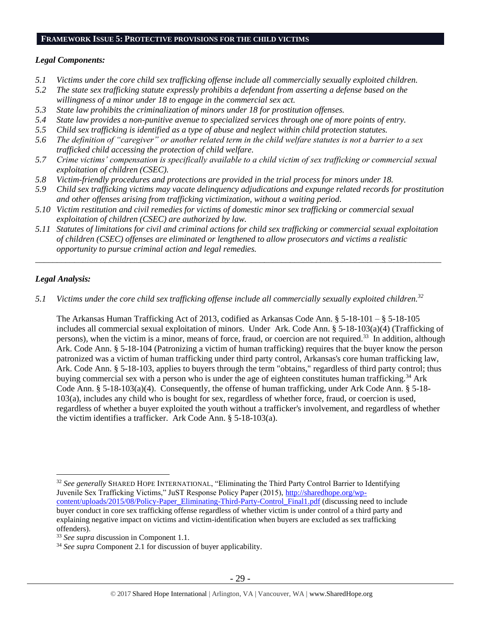# **FRAMEWORK ISSUE 5: PROTECTIVE PROVISIONS FOR THE CHILD VICTIMS**

## *Legal Components:*

- *5.1 Victims under the core child sex trafficking offense include all commercially sexually exploited children.*
- *5.2 The state sex trafficking statute expressly prohibits a defendant from asserting a defense based on the willingness of a minor under 18 to engage in the commercial sex act.*
- *5.3 State law prohibits the criminalization of minors under 18 for prostitution offenses.*
- *5.4 State law provides a non-punitive avenue to specialized services through one of more points of entry.*
- *5.5 Child sex trafficking is identified as a type of abuse and neglect within child protection statutes.*
- *5.6 The definition of "caregiver" or another related term in the child welfare statutes is not a barrier to a sex trafficked child accessing the protection of child welfare.*
- *5.7 Crime victims' compensation is specifically available to a child victim of sex trafficking or commercial sexual exploitation of children (CSEC).*
- *5.8 Victim-friendly procedures and protections are provided in the trial process for minors under 18.*
- *5.9 Child sex trafficking victims may vacate delinquency adjudications and expunge related records for prostitution and other offenses arising from trafficking victimization, without a waiting period.*
- *5.10 Victim restitution and civil remedies for victims of domestic minor sex trafficking or commercial sexual exploitation of children (CSEC) are authorized by law.*
- *5.11 Statutes of limitations for civil and criminal actions for child sex trafficking or commercial sexual exploitation of children (CSEC) offenses are eliminated or lengthened to allow prosecutors and victims a realistic opportunity to pursue criminal action and legal remedies.*

*\_\_\_\_\_\_\_\_\_\_\_\_\_\_\_\_\_\_\_\_\_\_\_\_\_\_\_\_\_\_\_\_\_\_\_\_\_\_\_\_\_\_\_\_\_\_\_\_\_\_\_\_\_\_\_\_\_\_\_\_\_\_\_\_\_\_\_\_\_\_\_\_\_\_\_\_\_\_\_\_\_\_\_\_\_\_\_\_\_\_\_\_\_\_*

# *Legal Analysis:*

*5.1 Victims under the core child sex trafficking offense include all commercially sexually exploited children.<sup>32</sup>*

The Arkansas Human Trafficking Act of 2013, codified as Arkansas Code Ann. § 5-18-101 – § 5-18-105 includes all commercial sexual exploitation of minors. Under Ark. Code Ann. § 5-18-103(a)(4) (Trafficking of persons), when the victim is a minor, means of force, fraud, or coercion are not required.<sup>33</sup> In addition, although Ark. Code Ann. § 5-18-104 (Patronizing a victim of human trafficking) requires that the buyer know the person patronized was a victim of human trafficking under third party control, Arkansas's core human trafficking law, Ark. Code Ann. § 5-18-103, applies to buyers through the term "obtains," regardless of third party control; thus buying commercial sex with a person who is under the age of eighteen constitutes human trafficking.<sup>34</sup> Ark Code Ann. § 5-18-103(a)(4). Consequently, the offense of human trafficking, under Ark Code Ann. § 5-18- 103(a), includes any child who is bought for sex, regardless of whether force, fraud, or coercion is used, regardless of whether a buyer exploited the youth without a trafficker's involvement, and regardless of whether the victim identifies a trafficker. Ark Code Ann. § 5-18-103(a).

 $\overline{a}$ <sup>32</sup> See generally SHARED HOPE INTERNATIONAL, "Eliminating the Third Party Control Barrier to Identifying Juvenile Sex Trafficking Victims," JuST Response Policy Paper (2015), [http://sharedhope.org/wp](http://sharedhope.org/wp-content/uploads/2015/08/Policy-Paper_Eliminating-Third-Party-Control_Final1.pdf)[content/uploads/2015/08/Policy-Paper\\_Eliminating-Third-Party-Control\\_Final1.pdf](http://sharedhope.org/wp-content/uploads/2015/08/Policy-Paper_Eliminating-Third-Party-Control_Final1.pdf) (discussing need to include buyer conduct in core sex trafficking offense regardless of whether victim is under control of a third party and explaining negative impact on victims and victim-identification when buyers are excluded as sex trafficking offenders).

<sup>33</sup> *See supra* discussion in Component 1.1.

<sup>34</sup> *See supra* Component 2.1 for discussion of buyer applicability.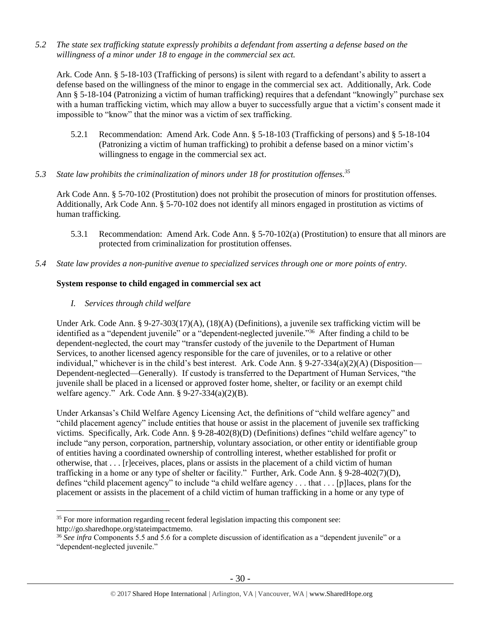*5.2 The state sex trafficking statute expressly prohibits a defendant from asserting a defense based on the willingness of a minor under 18 to engage in the commercial sex act.*

Ark. Code Ann. § 5-18-103 (Trafficking of persons) is silent with regard to a defendant's ability to assert a defense based on the willingness of the minor to engage in the commercial sex act. Additionally, Ark. Code Ann § 5-18-104 (Patronizing a victim of human trafficking) requires that a defendant "knowingly" purchase sex with a human trafficking victim, which may allow a buyer to successfully argue that a victim's consent made it impossible to "know" that the minor was a victim of sex trafficking.

- 5.2.1 Recommendation: Amend Ark. Code Ann. § 5-18-103 (Trafficking of persons) and § 5-18-104 (Patronizing a victim of human trafficking) to prohibit a defense based on a minor victim's willingness to engage in the commercial sex act.
- *5.3 State law prohibits the criminalization of minors under 18 for prostitution offenses. 35*

Ark Code Ann. § 5-70-102 (Prostitution) does not prohibit the prosecution of minors for prostitution offenses. Additionally, Ark Code Ann. § 5-70-102 does not identify all minors engaged in prostitution as victims of human trafficking.

- 5.3.1 Recommendation: Amend Ark. Code Ann. § 5-70-102(a) (Prostitution) to ensure that all minors are protected from criminalization for prostitution offenses.
- *5.4 State law provides a non-punitive avenue to specialized services through one or more points of entry.*

# **System response to child engaged in commercial sex act**

*I. Services through child welfare*

Under Ark. Code Ann. § 9-27-303(17)(A), (18)(A) (Definitions), a juvenile sex trafficking victim will be identified as a "dependent juvenile" or a "dependent-neglected juvenile." <sup>36</sup> After finding a child to be dependent-neglected, the court may "transfer custody of the juvenile to the Department of Human Services, to another licensed agency responsible for the care of juveniles, or to a relative or other individual," whichever is in the child's best interest. Ark. Code Ann.  $\S 9-27-334(a)(2)(A)$  (Disposition— Dependent-neglected—Generally). If custody is transferred to the Department of Human Services, "the juvenile shall be placed in a licensed or approved foster home, shelter, or facility or an exempt child welfare agency." Ark. Code Ann. § 9-27-334(a)(2)(B).

Under Arkansas's Child Welfare Agency Licensing Act, the definitions of "child welfare agency" and "child placement agency" include entities that house or assist in the placement of juvenile sex trafficking victims. Specifically, Ark. Code Ann. § 9-28-402(8)(D) (Definitions) defines "child welfare agency" to include "any person, corporation, partnership, voluntary association, or other entity or identifiable group of entities having a coordinated ownership of controlling interest, whether established for profit or otherwise, that . . . [r]eceives, places, plans or assists in the placement of a child victim of human trafficking in a home or any type of shelter or facility." Further, Ark. Code Ann. § 9-28-402(7)(D), defines "child placement agency" to include "a child welfare agency . . . that . . . [p]laces, plans for the placement or assists in the placement of a child victim of human trafficking in a home or any type of

 $\overline{a}$  $35$  For more information regarding recent federal legislation impacting this component see: http://go.sharedhope.org/stateimpactmemo.

<sup>&</sup>lt;sup>36</sup> See infra Components 5.5 and 5.6 for a complete discussion of identification as a "dependent juvenile" or a "dependent-neglected juvenile."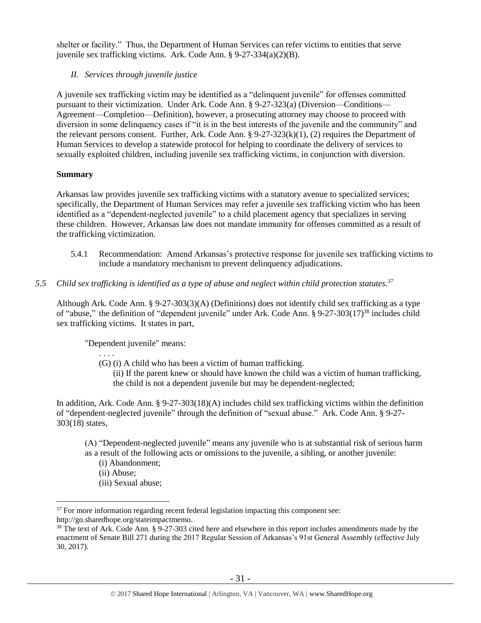shelter or facility." Thus, the Department of Human Services can refer victims to entities that serve juvenile sex trafficking victims. Ark. Code Ann. § 9-27-334(a)(2)(B).

# *II. Services through juvenile justice*

A juvenile sex trafficking victim may be identified as a "delinquent juvenile" for offenses committed pursuant to their victimization. Under Ark. Code Ann. § 9-27-323(a) (Diversion—Conditions— Agreement—Completion—Definition), however, a prosecuting attorney may choose to proceed with diversion in some delinquency cases if "it is in the best interests of the juvenile and the community" and the relevant persons consent. Further, Ark. Code Ann. § 9-27-323(k)(1), (2) requires the Department of Human Services to develop a statewide protocol for helping to coordinate the delivery of services to sexually exploited children, including juvenile sex trafficking victims, in conjunction with diversion.

# **Summary**

Arkansas law provides juvenile sex trafficking victims with a statutory avenue to specialized services; specifically, the Department of Human Services may refer a juvenile sex trafficking victim who has been identified as a "dependent-neglected juvenile" to a child placement agency that specializes in serving these children. However, Arkansas law does not mandate immunity for offenses committed as a result of the trafficking victimization.

- 5.4.1 Recommendation: Amend Arkansas's protective response for juvenile sex trafficking victims to include a mandatory mechanism to prevent delinquency adjudications.
- *5.5 Child sex trafficking is identified as a type of abuse and neglect within child protection statutes. 37*

Although Ark. Code Ann. § 9-27-303(3)(A) (Definitions) does not identify child sex trafficking as a type of "abuse," the definition of "dependent juvenile" under Ark. Code Ann. § 9-27-303(17)<sup>38</sup> includes child sex trafficking victims. It states in part,

"Dependent juvenile" means:

<span id="page-30-0"></span>. . . .

(G) (i) A child who has been a victim of human trafficking. (ii) If the parent knew or should have known the child was a victim of human trafficking, the child is not a dependent juvenile but may be dependent-neglected;

In addition, Ark. Code Ann. § 9-27-303(18)(A) includes child sex trafficking victims within the definition of "dependent-neglected juvenile" through the definition of "sexual abuse." Ark. Code Ann. § 9-27- 303(18) states,

(A) "Dependent-neglected juvenile" means any juvenile who is at substantial risk of serious harm as a result of the following acts or omissions to the juvenile, a sibling, or another juvenile:

- (i) Abandonment;
- (ii) Abuse;

 $\overline{a}$ 

(iii) Sexual abuse;

 $37$  For more information regarding recent federal legislation impacting this component see: http://go.sharedhope.org/stateimpactmemo.

<sup>&</sup>lt;sup>38</sup> The text of Ark. Code Ann. § 9-27-303 cited here and elsewhere in this report includes amendments made by the enactment of Senate Bill 271 during the 2017 Regular Session of Arkansas's 91st General Assembly (effective July 30, 2017).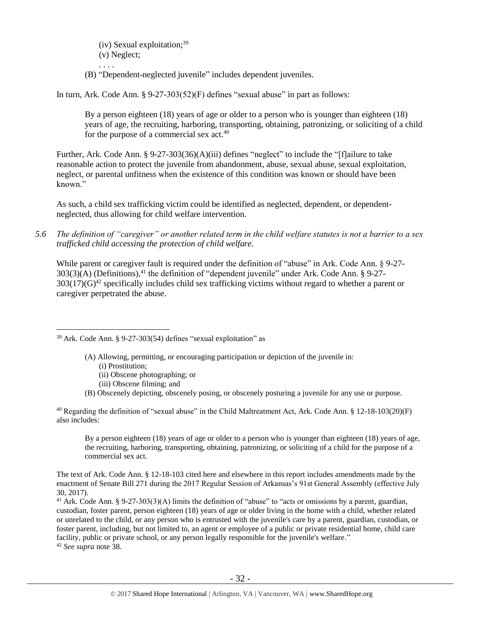(iv) Sexual exploitation; $39$ (v) Neglect;

. . . . (B) "Dependent-neglected juvenile" includes dependent juveniles.

In turn, Ark. Code Ann. § 9-27-303(52)(F) defines "sexual abuse" in part as follows:

By a person eighteen (18) years of age or older to a person who is younger than eighteen (18) years of age, the recruiting, harboring, transporting, obtaining, patronizing, or soliciting of a child for the purpose of a commercial sex act.<sup>40</sup>

Further, Ark. Code Ann. § 9-27-303(36)(A)(iii) defines "neglect" to include the "[f]ailure to take reasonable action to protect the juvenile from abandonment, abuse, sexual abuse, sexual exploitation, neglect, or parental unfitness when the existence of this condition was known or should have been known."

As such, a child sex trafficking victim could be identified as neglected, dependent, or dependentneglected, thus allowing for child welfare intervention.

*5.6 The definition of "caregiver" or another related term in the child welfare statutes is not a barrier to a sex trafficked child accessing the protection of child welfare.*

While parent or caregiver fault is required under the definition of "abuse" in Ark. Code Ann. § 9-27-303(3)(A) (Definitions), <sup>41</sup> the definition of "dependent juvenile" under Ark. Code Ann. § 9-27-  $303(17)(G)^{42}$  specifically includes child sex trafficking victims without regard to whether a parent or caregiver perpetrated the abuse.

- (A) Allowing, permitting, or encouraging participation or depiction of the juvenile in:
	- (i) Prostitution;

 $\overline{a}$ 

- (ii) Obscene photographing; or
- (iii) Obscene filming; and
- (B) Obscenely depicting, obscenely posing, or obscenely posturing a juvenile for any use or purpose.

<sup>40</sup> Regarding the definition of "sexual abuse" in the Child Maltreatment Act, Ark. Code Ann. § 12-18-103(20)(F) also includes:

By a person eighteen (18) years of age or older to a person who is younger than eighteen (18) years of age, the recruiting, harboring, transporting, obtaining, patronizing, or soliciting of a child for the purpose of a commercial sex act.

The text of Ark. Code Ann. § 12-18-103 cited here and elsewhere in this report includes amendments made by the enactment of Senate Bill 271 during the 2017 Regular Session of Arkansas's 91st General Assembly (effective July 30, 2017).

<sup>41</sup> Ark. Code Ann. § 9-27-303(3)(A) limits the definition of "abuse" to "acts or omissions by a parent, guardian, custodian, foster parent, person eighteen (18) years of age or older living in the home with a child, whether related or unrelated to the child, or any person who is entrusted with the juvenile's care by a parent, guardian, custodian, or foster parent, including, but not limited to, an agent or employee of a public or private residential home, child care facility, public or private school, or any person legally responsible for the juvenile's welfare." <sup>42</sup> *See supra* note [38.](#page-30-0)

<sup>39</sup> Ark. Code Ann. § 9-27-303(54) defines "sexual exploitation" as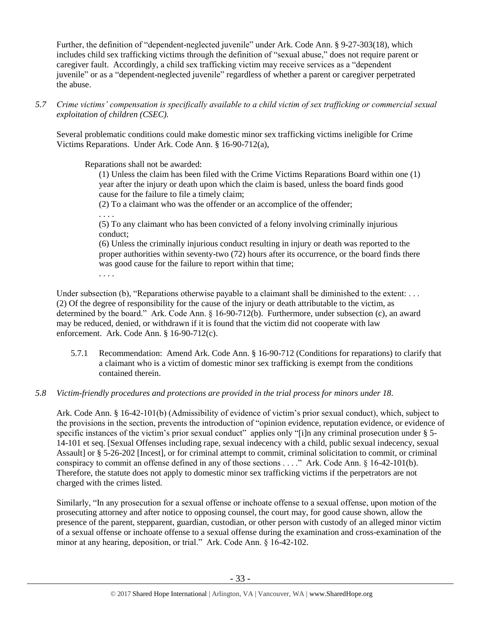Further, the definition of "dependent-neglected juvenile" under Ark. Code Ann. § 9-27-303(18), which includes child sex trafficking victims through the definition of "sexual abuse," does not require parent or caregiver fault. Accordingly, a child sex trafficking victim may receive services as a "dependent juvenile" or as a "dependent-neglected juvenile" regardless of whether a parent or caregiver perpetrated the abuse.

# *5.7 Crime victims' compensation is specifically available to a child victim of sex trafficking or commercial sexual exploitation of children (CSEC).*

Several problematic conditions could make domestic minor sex trafficking victims ineligible for Crime Victims Reparations. Under Ark. Code Ann. § 16-90-712(a),

Reparations shall not be awarded:

(1) Unless the claim has been filed with the Crime Victims Reparations Board within one (1) year after the injury or death upon which the claim is based, unless the board finds good cause for the failure to file a timely claim;

(2) To a claimant who was the offender or an accomplice of the offender;

. . . .

(5) To any claimant who has been convicted of a felony involving criminally injurious conduct;

(6) Unless the criminally injurious conduct resulting in injury or death was reported to the proper authorities within seventy-two (72) hours after its occurrence, or the board finds there was good cause for the failure to report within that time;

. . . .

Under subsection (b), "Reparations otherwise payable to a claimant shall be diminished to the extent: . . . (2) Of the degree of responsibility for the cause of the injury or death attributable to the victim, as determined by the board." Ark. Code Ann. § 16-90-712(b). Furthermore, under subsection (c), an award may be reduced, denied, or withdrawn if it is found that the victim did not cooperate with law enforcement. Ark. Code Ann. § 16-90-712(c).

5.7.1 Recommendation: Amend Ark. Code Ann. § 16-90-712 (Conditions for reparations) to clarify that a claimant who is a victim of domestic minor sex trafficking is exempt from the conditions contained therein.

# *5.8 Victim-friendly procedures and protections are provided in the trial process for minors under 18.*

Ark. Code Ann. § 16-42-101(b) (Admissibility of evidence of victim's prior sexual conduct), which, subject to the provisions in the section, prevents the introduction of "opinion evidence, reputation evidence, or evidence of specific instances of the victim's prior sexual conduct" applies only "[i]n any criminal prosecution under § 5-14-101 et seq. [Sexual Offenses including rape, sexual indecency with a child, public sexual indecency, sexual Assault] or § 5-26-202 [Incest], or for criminal attempt to commit, criminal solicitation to commit, or criminal conspiracy to commit an offense defined in any of those sections . . . ." Ark. Code Ann. § 16-42-101(b). Therefore, the statute does not apply to domestic minor sex trafficking victims if the perpetrators are not charged with the crimes listed.

Similarly, "In any prosecution for a sexual offense or inchoate offense to a sexual offense, upon motion of the prosecuting attorney and after notice to opposing counsel, the court may, for good cause shown, allow the presence of the parent, stepparent, guardian, custodian, or other person with custody of an alleged minor victim of a sexual offense or inchoate offense to a sexual offense during the examination and cross-examination of the minor at any hearing, deposition, or trial." Ark. Code Ann. § 16-42-102.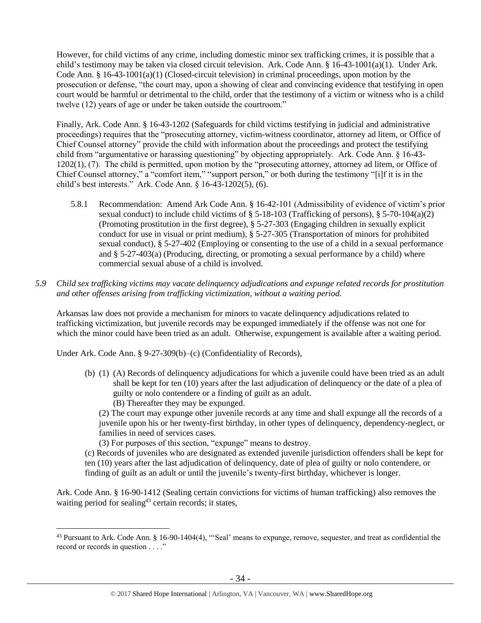However, for child victims of any crime, including domestic minor sex trafficking crimes, it is possible that a child's testimony may be taken via closed circuit television. Ark. Code Ann. § 16-43-1001(a)(1). Under Ark. Code Ann. § 16-43-1001(a)(1) (Closed-circuit television) in criminal proceedings, upon motion by the prosecution or defense, "the court may, upon a showing of clear and convincing evidence that testifying in open court would be harmful or detrimental to the child, order that the testimony of a victim or witness who is a child twelve (12) years of age or under be taken outside the courtroom."

Finally, Ark. Code Ann. § 16-43-1202 (Safeguards for child victims testifying in judicial and administrative proceedings) requires that the "prosecuting attorney, victim-witness coordinator, attorney ad litem, or Office of Chief Counsel attorney" provide the child with information about the proceedings and protect the testifying child from "argumentative or harassing questioning" by objecting appropriately. Ark. Code Ann. § 16-43- 1202(1), (7). The child is permitted, upon motion by the "prosecuting attorney, attorney ad litem, or Office of Chief Counsel attorney," a "comfort item," "support person," or both during the testimony "[i]f it is in the child's best interests." Ark. Code Ann. § 16-43-1202(5), (6).

- 5.8.1 Recommendation: Amend Ark Code Ann. § 16-42-101 (Admissibility of evidence of victim's prior sexual conduct) to include child victims of § 5-18-103 (Trafficking of persons), § 5-70-104(a)(2) (Promoting prostitution in the first degree), § 5-27-303 (Engaging children in sexually explicit conduct for use in visual or print medium), § 5-27-305 (Transportation of minors for prohibited sexual conduct), § 5-27-402 (Employing or consenting to the use of a child in a sexual performance and § 5-27-403(a) (Producing, directing, or promoting a sexual performance by a child) where commercial sexual abuse of a child is involved.
- *5.9 Child sex trafficking victims may vacate delinquency adjudications and expunge related records for prostitution and other offenses arising from trafficking victimization, without a waiting period.*

Arkansas law does not provide a mechanism for minors to vacate delinquency adjudications related to trafficking victimization, but juvenile records may be expunged immediately if the offense was not one for which the minor could have been tried as an adult. Otherwise, expungement is available after a waiting period.

Under Ark. Code Ann. § 9-27-309(b)–(c) (Confidentiality of Records),

 $\overline{a}$ 

- (b) (1) (A) Records of delinquency adjudications for which a juvenile could have been tried as an adult shall be kept for ten (10) years after the last adjudication of delinquency or the date of a plea of guilty or nolo contendere or a finding of guilt as an adult. (B) Thereafter they may be expunged.
	- (2) The court may expunge other juvenile records at any time and shall expunge all the records of a juvenile upon his or her twenty-first birthday, in other types of delinquency, dependency-neglect, or families in need of services cases.
	- (3) For purposes of this section, "expunge" means to destroy.
- (c) Records of juveniles who are designated as extended juvenile jurisdiction offenders shall be kept for ten (10) years after the last adjudication of delinquency, date of plea of guilty or nolo contendere, or finding of guilt as an adult or until the juvenile's twenty-first birthday, whichever is longer.

Ark. Code Ann. § 16-90-1412 (Sealing certain convictions for victims of human trafficking) also removes the waiting period for sealing<sup>43</sup> certain records; it states,

<sup>&</sup>lt;sup>43</sup> Pursuant to Ark. Code Ann. § 16-90-1404(4), "'Seal' means to expunge, remove, sequester, and treat as confidential the record or records in question . . . ."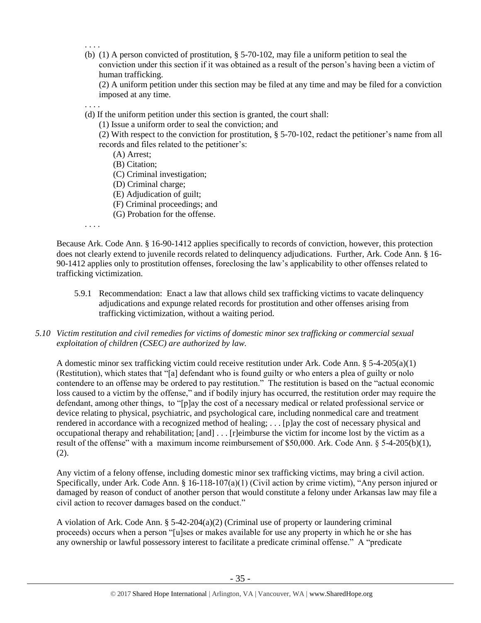- . . . .
- (b) (1) A person convicted of prostitution, § 5-70-102, may file a uniform petition to seal the conviction under this section if it was obtained as a result of the person's having been a victim of human trafficking.

(2) A uniform petition under this section may be filed at any time and may be filed for a conviction imposed at any time.

. . . .

(d) If the uniform petition under this section is granted, the court shall:

(1) Issue a uniform order to seal the conviction; and

(2) With respect to the conviction for prostitution, § 5-70-102, redact the petitioner's name from all records and files related to the petitioner's:

(A) Arrest;

(B) Citation;

(C) Criminal investigation;

- (D) Criminal charge;
- (E) Adjudication of guilt;
- (F) Criminal proceedings; and
- (G) Probation for the offense.

. . . .

Because Ark. Code Ann. § 16-90-1412 applies specifically to records of conviction, however, this protection does not clearly extend to juvenile records related to delinquency adjudications. Further, Ark. Code Ann. § 16- 90-1412 applies only to prostitution offenses, foreclosing the law's applicability to other offenses related to trafficking victimization.

- 5.9.1 Recommendation: Enact a law that allows child sex trafficking victims to vacate delinquency adjudications and expunge related records for prostitution and other offenses arising from trafficking victimization, without a waiting period.
- *5.10 Victim restitution and civil remedies for victims of domestic minor sex trafficking or commercial sexual exploitation of children (CSEC) are authorized by law.*

A domestic minor sex trafficking victim could receive restitution under Ark. Code Ann. §  $5-4-205(a)(1)$ (Restitution), which states that "[a] defendant who is found guilty or who enters a plea of guilty or nolo contendere to an offense may be ordered to pay restitution." The restitution is based on the "actual economic loss caused to a victim by the offense," and if bodily injury has occurred, the restitution order may require the defendant, among other things, to "[p]ay the cost of a necessary medical or related professional service or device relating to physical, psychiatric, and psychological care, including nonmedical care and treatment rendered in accordance with a recognized method of healing; . . . [p]ay the cost of necessary physical and occupational therapy and rehabilitation; [and] . . . [r]eimburse the victim for income lost by the victim as a result of the offense" with a maximum income reimbursement of \$50,000. Ark. Code Ann. § 5-4-205(b)(1), (2).

Any victim of a felony offense, including domestic minor sex trafficking victims, may bring a civil action. Specifically, under Ark. Code Ann. § 16-118-107(a)(1) (Civil action by crime victim), "Any person injured or damaged by reason of conduct of another person that would constitute a felony under Arkansas law may file a civil action to recover damages based on the conduct."

A violation of Ark. Code Ann.  $\S$  5-42-204(a)(2) (Criminal use of property or laundering criminal proceeds) occurs when a person "[u]ses or makes available for use any property in which he or she has any ownership or lawful possessory interest to facilitate a predicate criminal offense." A "predicate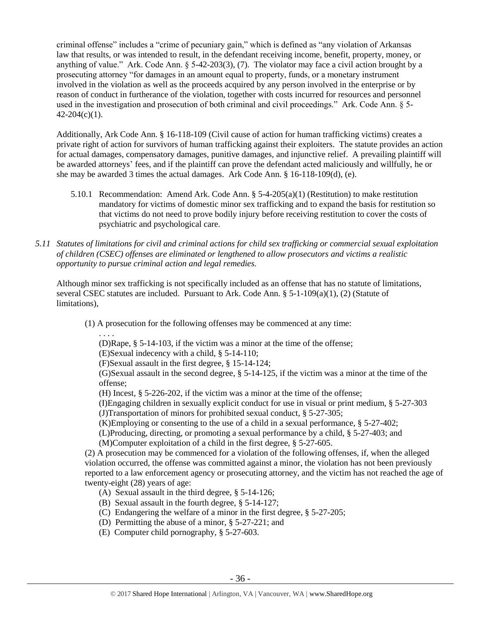criminal offense" includes a "crime of pecuniary gain," which is defined as "any violation of Arkansas law that results, or was intended to result, in the defendant receiving income, benefit, property, money, or anything of value." Ark. Code Ann. § 5-42-203(3), (7). The violator may face a civil action brought by a prosecuting attorney "for damages in an amount equal to property, funds, or a monetary instrument involved in the violation as well as the proceeds acquired by any person involved in the enterprise or by reason of conduct in furtherance of the violation, together with costs incurred for resources and personnel used in the investigation and prosecution of both criminal and civil proceedings." Ark. Code Ann. § 5-  $42 - 204(c)(1)$ .

Additionally, Ark Code Ann. § 16-118-109 (Civil cause of action for human trafficking victims) creates a private right of action for survivors of human trafficking against their exploiters. The statute provides an action for actual damages, compensatory damages, punitive damages, and injunctive relief. A prevailing plaintiff will be awarded attorneys' fees, and if the plaintiff can prove the defendant acted maliciously and willfully, he or she may be awarded 3 times the actual damages. Ark Code Ann. § 16-118-109(d), (e).

- 5.10.1 Recommendation: Amend Ark. Code Ann. § 5-4-205(a)(1) (Restitution) to make restitution mandatory for victims of domestic minor sex trafficking and to expand the basis for restitution so that victims do not need to prove bodily injury before receiving restitution to cover the costs of psychiatric and psychological care.
- *5.11 Statutes of limitations for civil and criminal actions for child sex trafficking or commercial sexual exploitation of children (CSEC) offenses are eliminated or lengthened to allow prosecutors and victims a realistic opportunity to pursue criminal action and legal remedies.*

Although minor sex trafficking is not specifically included as an offense that has no statute of limitations, several CSEC statutes are included. Pursuant to Ark. Code Ann.  $\S$  5-1-109(a)(1), (2) (Statute of limitations),

(1) A prosecution for the following offenses may be commenced at any time:

. . . .

(D)Rape, § 5-14-103, if the victim was a minor at the time of the offense;

(E)Sexual indecency with a child, § 5-14-110;

(F)Sexual assault in the first degree, § 15-14-124;

(G)Sexual assault in the second degree, § 5-14-125, if the victim was a minor at the time of the offense;

(H) Incest, § 5-226-202, if the victim was a minor at the time of the offense;

(I)Engaging children in sexually explicit conduct for use in visual or print medium, § 5-27-303 (J)Transportation of minors for prohibited sexual conduct, § 5-27-305;

(K)Employing or consenting to the use of a child in a sexual performance, § 5-27-402;

(L)Producing, directing, or promoting a sexual performance by a child, § 5-27-403; and (M)Computer exploitation of a child in the first degree, § 5-27-605.

(2) A prosecution may be commenced for a violation of the following offenses, if, when the alleged violation occurred, the offense was committed against a minor, the violation has not been previously reported to a law enforcement agency or prosecuting attorney, and the victim has not reached the age of twenty-eight (28) years of age:

- (A) Sexual assault in the third degree, § 5-14-126;
- (B) Sexual assault in the fourth degree, § 5-14-127;
- (C) Endangering the welfare of a minor in the first degree, § 5-27-205;
- (D) Permitting the abuse of a minor, § 5-27-221; and
- (E) Computer child pornography, § 5-27-603.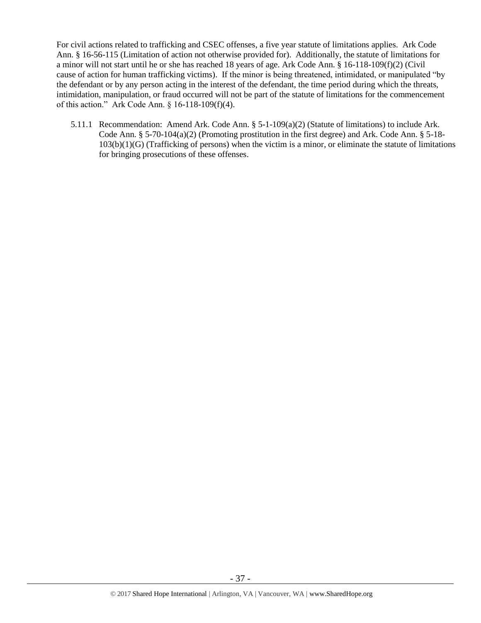For civil actions related to trafficking and CSEC offenses, a five year statute of limitations applies. Ark Code Ann. § 16-56-115 (Limitation of action not otherwise provided for). Additionally, the statute of limitations for a minor will not start until he or she has reached 18 years of age. Ark Code Ann. § 16-118-109(f)(2) (Civil cause of action for human trafficking victims). If the minor is being threatened, intimidated, or manipulated "by the defendant or by any person acting in the interest of the defendant, the time period during which the threats, intimidation, manipulation, or fraud occurred will not be part of the statute of limitations for the commencement of this action." Ark Code Ann. § 16-118-109(f)(4).

5.11.1 Recommendation: Amend Ark. Code Ann. § 5-1-109(a)(2) (Statute of limitations) to include Ark. Code Ann. § 5-70-104(a)(2) (Promoting prostitution in the first degree) and Ark. Code Ann. § 5-18- $103(b)(1)(G)$  (Trafficking of persons) when the victim is a minor, or eliminate the statute of limitations for bringing prosecutions of these offenses.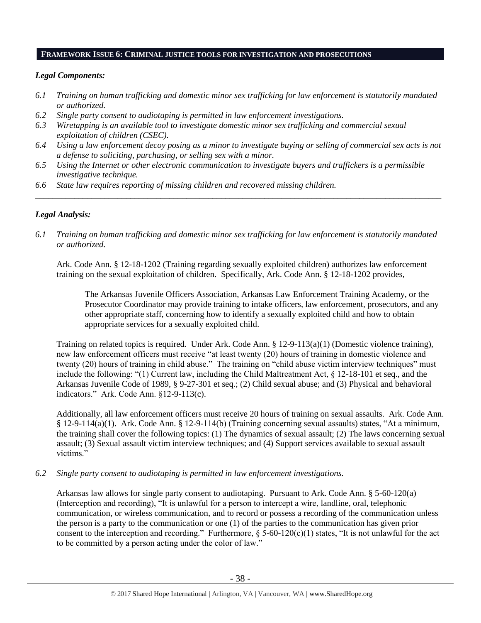#### **FRAMEWORK ISSUE 6: CRIMINAL JUSTICE TOOLS FOR INVESTIGATION AND PROSECUTIONS**

#### *Legal Components:*

- *6.1 Training on human trafficking and domestic minor sex trafficking for law enforcement is statutorily mandated or authorized.*
- *6.2 Single party consent to audiotaping is permitted in law enforcement investigations.*
- *6.3 Wiretapping is an available tool to investigate domestic minor sex trafficking and commercial sexual exploitation of children (CSEC).*
- *6.4 Using a law enforcement decoy posing as a minor to investigate buying or selling of commercial sex acts is not a defense to soliciting, purchasing, or selling sex with a minor.*

*\_\_\_\_\_\_\_\_\_\_\_\_\_\_\_\_\_\_\_\_\_\_\_\_\_\_\_\_\_\_\_\_\_\_\_\_\_\_\_\_\_\_\_\_\_\_\_\_\_\_\_\_\_\_\_\_\_\_\_\_\_\_\_\_\_\_\_\_\_\_\_\_\_\_\_\_\_\_\_\_\_\_\_\_\_\_\_\_\_\_\_\_\_\_*

- *6.5 Using the Internet or other electronic communication to investigate buyers and traffickers is a permissible investigative technique.*
- *6.6 State law requires reporting of missing children and recovered missing children.*

## *Legal Analysis:*

*6.1 Training on human trafficking and domestic minor sex trafficking for law enforcement is statutorily mandated or authorized.*

Ark. Code Ann. § 12-18-1202 (Training regarding sexually exploited children) authorizes law enforcement training on the sexual exploitation of children. Specifically, Ark. Code Ann. § 12-18-1202 provides,

The Arkansas Juvenile Officers Association, Arkansas Law Enforcement Training Academy, or the Prosecutor Coordinator may provide training to intake officers, law enforcement, prosecutors, and any other appropriate staff, concerning how to identify a sexually exploited child and how to obtain appropriate services for a sexually exploited child.

Training on related topics is required. Under Ark. Code Ann. § 12-9-113(a)(1) (Domestic violence training), new law enforcement officers must receive "at least twenty (20) hours of training in domestic violence and twenty (20) hours of training in child abuse." The training on "child abuse victim interview techniques" must include the following: "(1) Current law, including the Child Maltreatment Act, § 12-18-101 et seq., and the Arkansas Juvenile Code of 1989, § 9-27-301 et seq.; (2) Child sexual abuse; and (3) Physical and behavioral indicators." Ark. Code Ann. §12-9-113(c).

Additionally, all law enforcement officers must receive 20 hours of training on sexual assaults. Ark. Code Ann. § 12-9-114(a)(1). Ark. Code Ann. § 12-9-114(b) (Training concerning sexual assaults) states, "At a minimum, the training shall cover the following topics: (1) The dynamics of sexual assault; (2) The laws concerning sexual assault; (3) Sexual assault victim interview techniques; and (4) Support services available to sexual assault victims."

*6.2 Single party consent to audiotaping is permitted in law enforcement investigations.*

Arkansas law allows for single party consent to audiotaping. Pursuant to Ark. Code Ann. § 5-60-120(a) (Interception and recording), "It is unlawful for a person to intercept a wire, landline, oral, telephonic communication, or wireless communication, and to record or possess a recording of the communication unless the person is a party to the communication or one (1) of the parties to the communication has given prior consent to the interception and recording." Furthermore,  $\S 5-60-120(c)(1)$  states, "It is not unlawful for the act to be committed by a person acting under the color of law."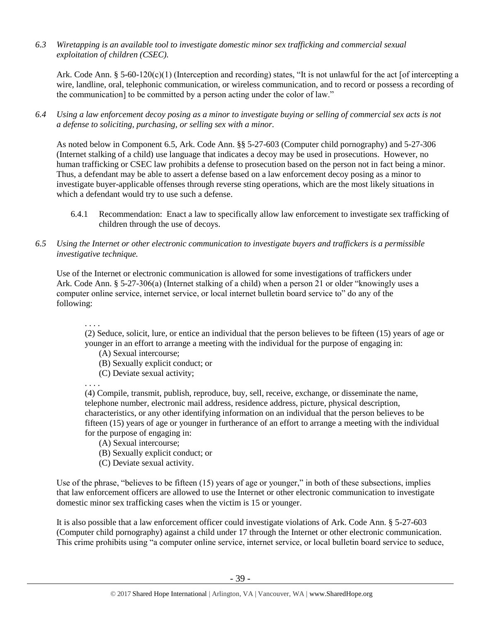*6.3 Wiretapping is an available tool to investigate domestic minor sex trafficking and commercial sexual exploitation of children (CSEC).* 

Ark. Code Ann. § 5-60-120(c)(1) (Interception and recording) states, "It is not unlawful for the act [of intercepting a wire, landline, oral, telephonic communication, or wireless communication, and to record or possess a recording of the communication] to be committed by a person acting under the color of law."

*6.4 Using a law enforcement decoy posing as a minor to investigate buying or selling of commercial sex acts is not a defense to soliciting, purchasing, or selling sex with a minor.*

As noted below in Component 6.5, Ark. Code Ann. §§ 5-27-603 (Computer child pornography) and 5-27-306 (Internet stalking of a child) use language that indicates a decoy may be used in prosecutions. However, no human trafficking or CSEC law prohibits a defense to prosecution based on the person not in fact being a minor. Thus, a defendant may be able to assert a defense based on a law enforcement decoy posing as a minor to investigate buyer-applicable offenses through reverse sting operations, which are the most likely situations in which a defendant would try to use such a defense.

- 6.4.1 Recommendation: Enact a law to specifically allow law enforcement to investigate sex trafficking of children through the use of decoys.
- *6.5 Using the Internet or other electronic communication to investigate buyers and traffickers is a permissible investigative technique.*

Use of the Internet or electronic communication is allowed for some investigations of traffickers under Ark. Code Ann. § 5-27-306(a) (Internet stalking of a child) when a person 21 or older "knowingly uses a computer online service, internet service, or local internet bulletin board service to" do any of the following:

. . . .

(2) Seduce, solicit, lure, or entice an individual that the person believes to be fifteen (15) years of age or younger in an effort to arrange a meeting with the individual for the purpose of engaging in:

- (A) Sexual intercourse;
- (B) Sexually explicit conduct; or
- (C) Deviate sexual activity;

. . . .

(4) Compile, transmit, publish, reproduce, buy, sell, receive, exchange, or disseminate the name, telephone number, electronic mail address, residence address, picture, physical description, characteristics, or any other identifying information on an individual that the person believes to be fifteen (15) years of age or younger in furtherance of an effort to arrange a meeting with the individual for the purpose of engaging in:

- (A) Sexual intercourse;
- (B) Sexually explicit conduct; or
- (C) Deviate sexual activity.

Use of the phrase, "believes to be fifteen (15) years of age or younger," in both of these subsections, implies that law enforcement officers are allowed to use the Internet or other electronic communication to investigate domestic minor sex trafficking cases when the victim is 15 or younger.

It is also possible that a law enforcement officer could investigate violations of Ark. Code Ann. § 5-27-603 (Computer child pornography) against a child under 17 through the Internet or other electronic communication. This crime prohibits using "a computer online service, internet service, or local bulletin board service to seduce,